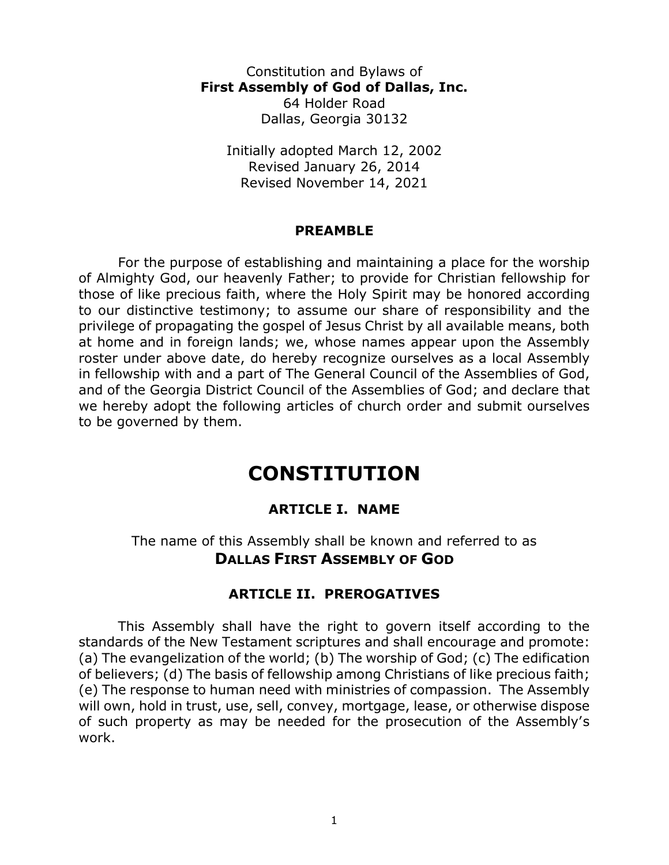Constitution and Bylaws of **First Assembly of God of Dallas, Inc.** 64 Holder Road Dallas, Georgia 30132

Initially adopted March 12, 2002 Revised January 26, 2014 Revised November 14, 2021

#### **PREAMBLE**

For the purpose of establishing and maintaining a place for the worship of Almighty God, our heavenly Father; to provide for Christian fellowship for those of like precious faith, where the Holy Spirit may be honored according to our distinctive testimony; to assume our share of responsibility and the privilege of propagating the gospel of Jesus Christ by all available means, both at home and in foreign lands; we, whose names appear upon the Assembly roster under above date, do hereby recognize ourselves as a local Assembly in fellowship with and a part of The General Council of the Assemblies of God, and of the Georgia District Council of the Assemblies of God; and declare that we hereby adopt the following articles of church order and submit ourselves to be governed by them.

# **CONSTITUTION**

### **ARTICLE I. NAME**

The name of this Assembly shall be known and referred to as **DALLAS FIRST ASSEMBLY OF GOD**

#### **ARTICLE II. PREROGATIVES**

This Assembly shall have the right to govern itself according to the standards of the New Testament scriptures and shall encourage and promote: (a) The evangelization of the world; (b) The worship of God; (c) The edification of believers; (d) The basis of fellowship among Christians of like precious faith; (e) The response to human need with ministries of compassion. The Assembly will own, hold in trust, use, sell, convey, mortgage, lease, or otherwise dispose of such property as may be needed for the prosecution of the Assembly's work.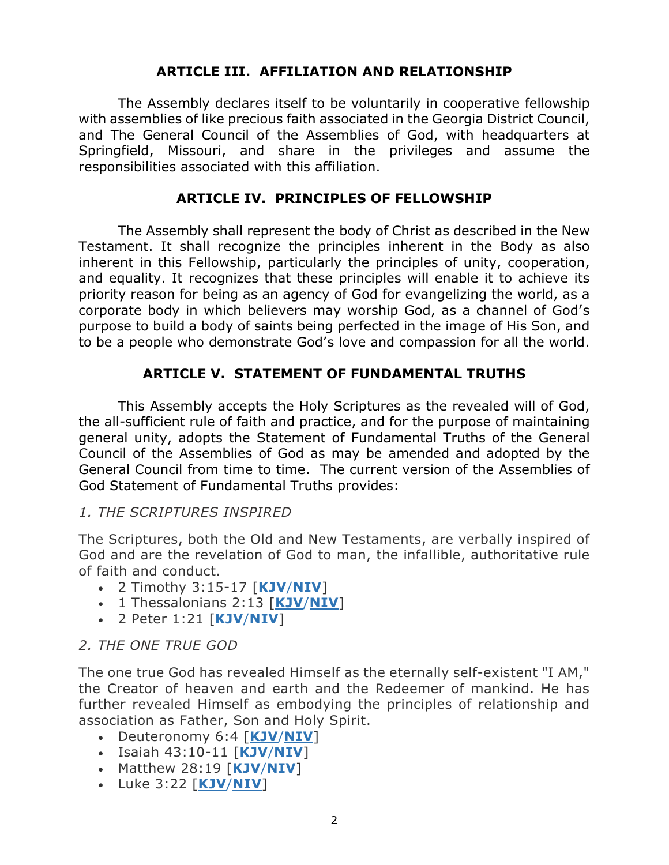#### **ARTICLE III. AFFILIATION AND RELATIONSHIP**

The Assembly declares itself to be voluntarily in cooperative fellowship with assemblies of like precious faith associated in the Georgia District Council, and The General Council of the Assemblies of God, with headquarters at Springfield, Missouri, and share in the privileges and assume the responsibilities associated with this affiliation.

#### **ARTICLE IV. PRINCIPLES OF FELLOWSHIP**

The Assembly shall represent the body of Christ as described in the New Testament. It shall recognize the principles inherent in the Body as also inherent in this Fellowship, particularly the principles of unity, cooperation, and equality. It recognizes that these principles will enable it to achieve its priority reason for being as an agency of God for evangelizing the world, as a corporate body in which believers may worship God, as a channel of God's purpose to build a body of saints being perfected in the image of His Son, and to be a people who demonstrate God's love and compassion for all the world.

### **ARTICLE V. STATEMENT OF FUNDAMENTAL TRUTHS**

This Assembly accepts the Holy Scriptures as the revealed will of God, the all-sufficient rule of faith and practice, and for the purpose of maintaining general unity, adopts the Statement of Fundamental Truths of the General Council of the Assemblies of God as may be amended and adopted by the General Council from time to time. The current version of the Assemblies of God Statement of Fundamental Truths provides:

#### *1. THE SCRIPTURES INSPIRED*

The Scriptures, both the Old and New Testaments, are verbally inspired of God and are the revelation of God to man, the infallible, authoritative rule of faith and conduct.

- 2 Timothy 3:15-17 [**[KJV](http://bible.gospelcom.net/bible?language=English&version=KJV&passage=2+Timothy+3:15-17)**/**[NIV](http://bible.gospelcom.net/bible?language=English&version=NIV&passage=2+Timothy+3:15-17)**]
- 1 Thessalonians 2:13 [**[KJV](http://bible.gospelcom.net/bible?language=English&version=KJV&passage=1+Thessalonians+2:13)**/**[NIV](http://bible.gospelcom.net/bible?language=English&version=NIV&passage=1+Thessalonians+2:13)**]
- 2 Peter 1:21 [**[KJV](http://bible.gospelcom.net/bible?language=English&version=KJV&passage=2+Peter+1:21)**/**[NIV](http://bible.gospelcom.net/bible?language=English&version=NIV&passage=2+Peter+1:21)**]

#### *2. THE ONE TRUE GOD*

The one true God has revealed Himself as the eternally self-existent "I AM," the Creator of heaven and earth and the Redeemer of mankind. He has further revealed Himself as embodying the principles of relationship and association as Father, Son and Holy Spirit.

- Deuteronomy 6:4 [**[KJV](http://bible.gospelcom.net/bible?language=English&version=KJV&passage=Deuteronomy+6:4)**/**[NIV](http://bible.gospelcom.net/bible?language=English&version=NIV&passage=Deuteronomy+6:4)**]
- Isaiah 43:10-11 [**[KJV](http://bible.gospelcom.net/bible?language=English&version=KJV&passage=Isaiah+43:10-11)**/**[NIV](http://bible.gospelcom.net/bible?language=English&version=NIV&passage=Isaiah+43:10-11)**]
- Matthew 28:19 [**[KJV](http://bible.gospelcom.net/bible?language=English&version=KJV&passage=Matthew+28:19)**/**[NIV](http://bible.gospelcom.net/bible?language=English&version=NIV&passage=Matthew+28:19)**]
- Luke 3:22 [**[KJV](http://bible.gospelcom.net/bible?language=English&version=KJV&passage=Luke+3:22)**/**[NIV](http://bible.gospelcom.net/bible?language=English&version=NIV&passage=Luke+3:22)**]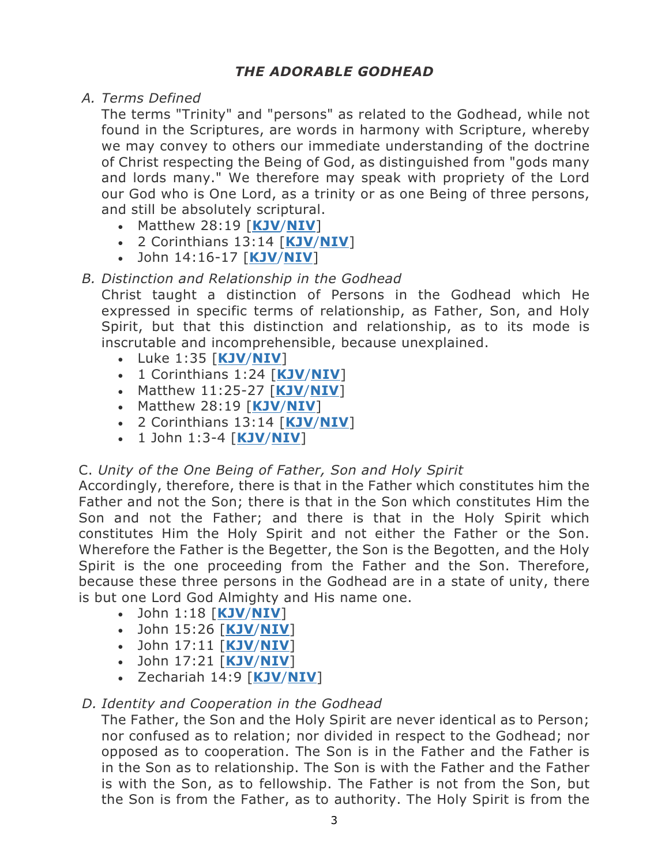### *THE ADORABLE GODHEAD*

*A. Terms Defined*

The terms "Trinity" and "persons" as related to the Godhead, while not found in the Scriptures, are words in harmony with Scripture, whereby we may convey to others our immediate understanding of the doctrine of Christ respecting the Being of God, as distinguished from "gods many and lords many." We therefore may speak with propriety of the Lord our God who is One Lord, as a trinity or as one Being of three persons, and still be absolutely scriptural.

- Matthew 28:19 [**[KJV](http://bible.gospelcom.net/bible?language=English&version=KJV&passage=Matthew+28:19)**/**[NIV](http://bible.gospelcom.net/bible?language=English&version=NIV&passage=Matthew+28:19)**]
- 2 Corinthians 13:14 [**[KJV](http://bible.gospelcom.net/bible?language=English&version=KJV&passage=2+Corinthians+13:14)**/**[NIV](http://bible.gospelcom.net/bible?language=English&version=NIV&passage=2+Corinthians+13:14)**]
- John 14:16-17 [**[KJV](http://bible.gospelcom.net/bible?language=English&version=KJV&passage=John+14:16-17)**/**[NIV](http://bible.gospelcom.net/bible?language=English&version=NIV&passage=John+14:16-17)**]

### *B. Distinction and Relationship in the Godhead*

Christ taught a distinction of Persons in the Godhead which He expressed in specific terms of relationship, as Father, Son, and Holy Spirit, but that this distinction and relationship, as to its mode is inscrutable and incomprehensible, because unexplained.

- Luke 1:35 [**[KJV](http://bible.gospelcom.net/bible?language=English&version=KJV&passage=Luke+1:35)**/**[NIV](http://bible.gospelcom.net/bible?language=English&version=NIV&passage=Luke+1:35)**]
- 1 Corinthians 1:24 [**[KJV](http://bible.gospelcom.net/bible?language=English&version=KJV&passage=1+Corinthians+1:24)**/**[NIV](http://bible.gospelcom.net/bible?language=English&version=NIV&passage=1+Corinthians+1:24)**]
- Matthew 11:25-27 [**[KJV](http://bible.gospelcom.net/bible?language=English&version=KJV&passage=Matthew+11:25-27)**/**[NIV](http://bible.gospelcom.net/bible?language=English&version=NIV&passage=Matthew+11:25-27)**]
- Matthew 28:19 [**[KJV](http://bible.gospelcom.net/bible?language=English&version=KJV&passage=Matthew+28:19)**/**[NIV](http://bible.gospelcom.net/bible?language=English&version=NIV&passage=Matthew+28:19)**]
- 2 Corinthians 13:14 [**[KJV](http://bible.gospelcom.net/bible?language=English&version=KJV&passage=2+Corinthians+13:14)**/**[NIV](http://bible.gospelcom.net/bible?language=English&version=NIV&passage=2+Corinthians+13:14)**]
- 1 John 1:3-4 [**[KJV](http://bible.gospelcom.net/bible?language=English&version=KJV&passage=1+John+1:3-4)**/**[NIV](http://bible.gospelcom.net/bible?language=English&version=NIV&passage=1+John+1:3-4)**]

### C. *Unity of the One Being of Father, Son and Holy Spirit*

Accordingly, therefore, there is that in the Father which constitutes him the Father and not the Son; there is that in the Son which constitutes Him the Son and not the Father; and there is that in the Holy Spirit which constitutes Him the Holy Spirit and not either the Father or the Son. Wherefore the Father is the Begetter, the Son is the Begotten, and the Holy Spirit is the one proceeding from the Father and the Son. Therefore, because these three persons in the Godhead are in a state of unity, there is but one Lord God Almighty and His name one.

- John 1:18 [**[KJV](http://bible.gospelcom.net/bible?language=English&version=KJV&passage=John+1:18)**/**[NIV](http://bible.gospelcom.net/bible?language=English&version=NIV&passage=John+1:18)**]
- John 15:26 [**[KJV](http://bible.gospelcom.net/bible?language=English&version=KJV&passage=John+15:26)**/**[NIV](http://bible.gospelcom.net/bible?language=English&version=NIV&passage=John+15:26)**]
- John 17:11 [**[KJV](http://bible.gospelcom.net/bible?language=English&version=KJV&passage=John+17:11)**/**[NIV](http://bible.gospelcom.net/bible?language=English&version=NIV&passage=John+17:11)**]
- John 17:21 [**[KJV](http://bible.gospelcom.net/bible?language=English&version=KJV&passage=John+17:21)**/**[NIV](http://bible.gospelcom.net/bible?language=English&version=NIV&passage=John+17:21)**]
- Zechariah 14:9 [**[KJV](http://bible.gospelcom.net/bible?language=English&version=KJV&passage=Zechariah+14:9)**/**[NIV](http://bible.gospelcom.net/bible?language=English&version=NIV&passage=Zechariah+14:9)**]

### *D. Identity and Cooperation in the Godhead*

The Father, the Son and the Holy Spirit are never identical as to Person; nor confused as to relation; nor divided in respect to the Godhead; nor opposed as to cooperation. The Son is in the Father and the Father is in the Son as to relationship. The Son is with the Father and the Father is with the Son, as to fellowship. The Father is not from the Son, but the Son is from the Father, as to authority. The Holy Spirit is from the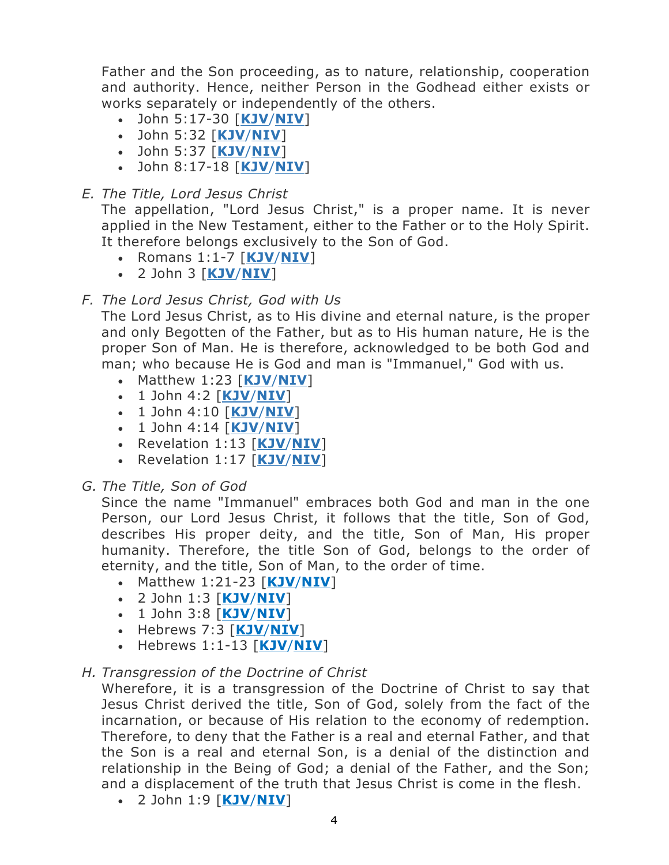Father and the Son proceeding, as to nature, relationship, cooperation and authority. Hence, neither Person in the Godhead either exists or works separately or independently of the others.

- John 5:17-30 [**[KJV](http://bible.gospelcom.net/bible?language=English&version=KJV&passage=John+5:17-30)**/**[NIV](http://bible.gospelcom.net/bible?language=English&version=NIV&passage=John+5:17-30)**]
- John 5:32 [**[KJV](http://bible.gospelcom.net/bible?language=English&version=KJV&passage=John+5:32)**/**[NIV](http://bible.gospelcom.net/bible?language=English&version=NIV&passage=John+5:32)**]
- John 5:37 [**[KJV](http://bible.gospelcom.net/bible?language=English&version=KJV&passage=John+5:37)**/**[NIV](http://bible.gospelcom.net/bible?language=English&version=NIV&passage=John+5:37)**]
- John 8:17-18 [**[KJV](http://bible.gospelcom.net/bible?language=English&version=KJV&passage=John+8:17-18)**/**[NIV](http://bible.gospelcom.net/bible?language=English&version=NIV&passage=John+8:17-18)**]

### *E. The Title, Lord Jesus Christ*

The appellation, "Lord Jesus Christ," is a proper name. It is never applied in the New Testament, either to the Father or to the Holy Spirit. It therefore belongs exclusively to the Son of God.

- Romans 1:1-7 [**[KJV](https://www.biblegateway.com/passage/?search=Romans+1%3A+1-7&version=KJV)**/**[NIV](https://www.biblegateway.com/passage/?search=Romans+1%3A+1-7&version=NIV)**]
- 2 John 3 [**[KJV](http://bible.gospelcom.net/bible?language=English&version=KJV&passage=2+John+1:3)**/**[NIV](http://bible.gospelcom.net/bible?language=English&version=NIV&passage=2+John+1:3)**]

### *F. The Lord Jesus Christ, God with Us*

The Lord Jesus Christ, as to His divine and eternal nature, is the proper and only Begotten of the Father, but as to His human nature, He is the proper Son of Man. He is therefore, acknowledged to be both God and man; who because He is God and man is "Immanuel," God with us.

- Matthew 1:23 [**[KJV](http://bible.gospelcom.net/bible?language=English&version=KJV&passage=Matthew%201:23)**/**[NIV](http://bible.gospelcom.net/bible?language=English&version=NIV&passage=Matthew%201:23)**]
- 1 John 4:2 [**[KJV](http://bible.gospelcom.net/bible?language=English&version=KJV&passage=1%20John%204:2)**/**[NIV](http://bible.gospelcom.net/bible?language=English&version=NIV&passage=1%20John%204:2)**]
- 1 John 4:10 [**[KJV](http://bible.gospelcom.net/bible?language=English&version=KJV&passage=1%20John%204:10)**/**[NIV](http://bible.gospelcom.net/bible?language=English&version=NIV&passage=1%20John%204:10)**]
- 1 John 4:14 [**[KJV](http://bible.gospelcom.net/bible?language=English&version=KJV&passage=1%20John%204:14)**/**[NIV](http://bible.gospelcom.net/bible?language=English&version=NIV&passage=1%20John%204:14)**]
- Revelation 1:13 [**[KJV](http://bible.gospelcom.net/bible?language=English&version=KJV&passage=Revelation%201:13)**/**[NIV](http://bible.gospelcom.net/bible?language=English&version=NIV&passage=Revelation%201:13)**]
- Revelation 1:17 [**[KJV](http://bible.gospelcom.net/bible?language=English&version=KJV&passage=Revelation%201:17)**/**[NIV](http://bible.gospelcom.net/bible?language=English&version=NIV&passage=Revelation%201:17)**]
- *G. The Title, Son of God*

Since the name "Immanuel" embraces both God and man in the one Person, our Lord Jesus Christ, it follows that the title, Son of God, describes His proper deity, and the title, Son of Man, His proper humanity. Therefore, the title Son of God, belongs to the order of eternity, and the title, Son of Man, to the order of time.

- Matthew 1:21-23 [**[KJV](http://bible.gospelcom.net/bible?language=English&version=KJV&passage=Matthew+1:21-23)**/**[NIV](http://bible.gospelcom.net/bible?language=English&version=NIV&passage=Matthew+1:21-23)**]
- 2 John 1:3 [**[KJV](http://bible.gospelcom.net/bible?language=English&version=KJV&passage=2+John+1:3)**/**[NIV](http://bible.gospelcom.net/bible?language=English&version=NIV&passage=2+John+1:3)**]
- 1 John 3:8 [**[KJV](http://bible.gospelcom.net/bible?language=English&version=KJV&passage=1+John+3:8)**/**[NIV](http://bible.gospelcom.net/bible?language=English&version=NIV&passage=1+John+3:8)**]
- Hebrews 7:3 [**[KJV](http://bible.gospelcom.net/bible?language=English&version=KJV&passage=Hebrews+7:3)**/**[NIV](http://bible.gospelcom.net/bible?language=English&version=NIV&passage=Hebrews+7:3)**]
- Hebrews 1:1-13 [**[KJV](http://bible.gospelcom.net/bible?language=English&version=KJV&passage=Hebrews+1:1-13)**/**[NIV](http://bible.gospelcom.net/bible?language=English&version=NIV&passage=Hebrews+1:1-13)**]

### *H. Transgression of the Doctrine of Christ*

Wherefore, it is a transgression of the Doctrine of Christ to say that Jesus Christ derived the title, Son of God, solely from the fact of the incarnation, or because of His relation to the economy of redemption. Therefore, to deny that the Father is a real and eternal Father, and that the Son is a real and eternal Son, is a denial of the distinction and relationship in the Being of God; a denial of the Father, and the Son; and a displacement of the truth that Jesus Christ is come in the flesh.

• 2 John 1:9 [**[KJV](http://bible.gospelcom.net/bible?language=English&version=KJV&passage=2+John+1:9)**/**[NIV](http://bible.gospelcom.net/bible?language=English&version=NIV&passage=2+John+1:9)**]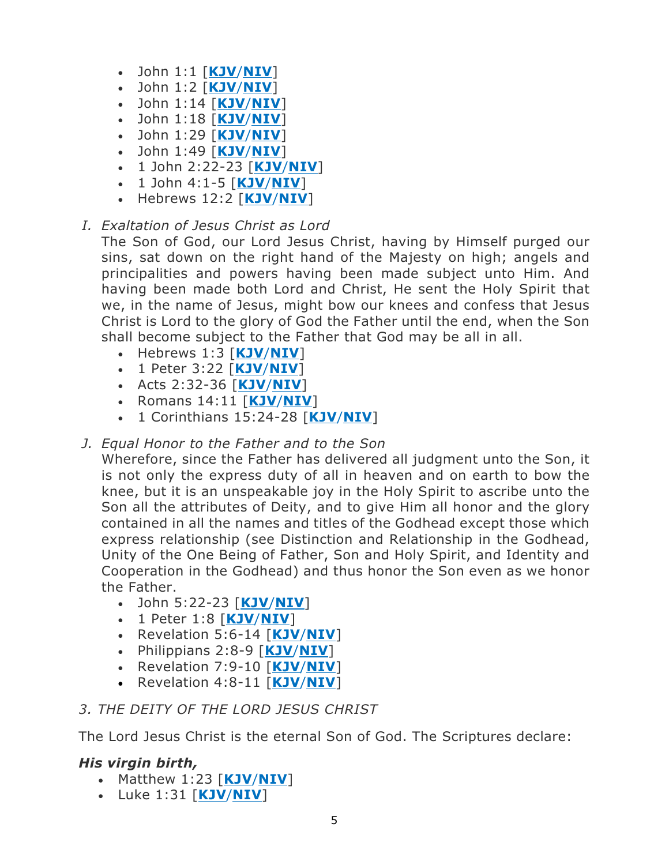- John 1:1 [**[KJV](http://bible.gospelcom.net/bible?language=English&version=KJV&passage=John+1:1)**/**[NIV](http://bible.gospelcom.net/bible?language=English&version=NIV&passage=John+1:1)**]
- John 1:2 [**[KJV](http://bible.gospelcom.net/bible?language=English&version=KJV&passage=John+1:2)**/**[NIV](http://bible.gospelcom.net/bible?language=English&version=NIV&passage=John+1:2)**]
- John 1:14 [**[KJV](http://bible.gospelcom.net/bible?language=English&version=KJV&passage=John+1:14)**/**[NIV](http://bible.gospelcom.net/bible?language=English&version=NIV&passage=John+1:14)**]
- John 1:18 [**[KJV](http://bible.gospelcom.net/bible?language=English&version=KJV&passage=John+1:18)**/**[NIV](http://bible.gospelcom.net/bible?language=English&version=NIV&passage=John+1:18)**]
- John 1:29 [**[KJV](http://bible.gospelcom.net/bible?language=English&version=KJV&passage=John+1:29)**/**[NIV](http://bible.gospelcom.net/bible?language=English&version=NIV&passage=John+1:29)**]
- John 1:49 [**[KJV](http://bible.gospelcom.net/bible?language=English&version=KJV&passage=John+1:49)**/**[NIV](http://bible.gospelcom.net/bible?language=English&version=NIV&passage=John+1:49)**]
- 1 John 2:22-23 [**[KJV](http://bible.gospelcom.net/bible?language=English&version=KJV&passage=1+John+2:22-23)**/**[NIV](http://bible.gospelcom.net/bible?language=English&version=NIV&passage=1+John+2:22-23)**]
- 1 John 4:1-5 [**[KJV](http://bible.gospelcom.net/bible?language=English&version=KJV&passage=1+John+4:1-5)**/**[NIV](http://bible.gospelcom.net/bible?language=English&version=NIV&passage=1+John+4:1-5)**]
- Hebrews 12:2 [**[KJV](http://bible.gospelcom.net/bible?language=English&version=KJV&passage=Hebrews+12:2)**/**[NIV](http://bible.gospelcom.net/bible?language=English&version=NIV&passage=Hebrews+12:2)**]

# *I. Exaltation of Jesus Christ as Lord*

The Son of God, our Lord Jesus Christ, having by Himself purged our sins, sat down on the right hand of the Majesty on high; angels and principalities and powers having been made subject unto Him. And having been made both Lord and Christ, He sent the Holy Spirit that we, in the name of Jesus, might bow our knees and confess that Jesus Christ is Lord to the glory of God the Father until the end, when the Son shall become subject to the Father that God may be all in all.

- Hebrews 1:3 [**[KJV](http://bible.gospelcom.net/bible?language=English&version=KJV&passage=Hebrews+1:3)**/**[NIV](http://bible.gospelcom.net/bible?language=English&version=NIV&passage=Hebrews+1:3)**]
- 1 Peter 3:22 [**[KJV](http://bible.gospelcom.net/bible?language=English&version=KJV&passage=1+Peter+3:22)**/**[NIV](http://bible.gospelcom.net/bible?language=English&version=NIV&passage=1+Peter+3:22)**]
- Acts 2:32-36 [**[KJV](http://bible.gospelcom.net/bible?language=English&version=KJV&passage=Acts+2:32-36)**/**[NIV](http://bible.gospelcom.net/bible?language=English&version=NIV&passage=Acts+2:32-36)**]
- Romans 14:11 [**[KJV](http://bible.gospelcom.net/bible?language=English&version=KJV&passage=Romans+14:11)**/**[NIV](http://bible.gospelcom.net/bible?language=English&version=NIV&passage=Romans+14:11)**]
- 1 Corinthians 15:24-28 [**[KJV](http://bible.gospelcom.net/bible?language=English&version=KJV&passage=1+Corinthians+15:24-28)**/**[NIV](http://bible.gospelcom.net/bible?language=English&version=NIV&passage=1+Corinthians+15:24-28)**]
- *J. Equal Honor to the Father and to the Son*

Wherefore, since the Father has delivered all judgment unto the Son, it is not only the express duty of all in heaven and on earth to bow the knee, but it is an unspeakable joy in the Holy Spirit to ascribe unto the Son all the attributes of Deity, and to give Him all honor and the glory contained in all the names and titles of the Godhead except those which express relationship (see Distinction and Relationship in the Godhead, Unity of the One Being of Father, Son and Holy Spirit, and Identity and Cooperation in the Godhead) and thus honor the Son even as we honor the Father.

- John 5:22-23 [**[KJV](http://bible.gospelcom.net/bible?language=English&version=KJV&passage=John+5:22-23)**/**[NIV](http://bible.gospelcom.net/bible?language=English&version=NIV&passage=John+5:22-23)**]
- 1 Peter 1:8 [**[KJV](http://bible.gospelcom.net/bible?language=English&version=KJV&passage=1+Peter+1:8)**/**[NIV](http://bible.gospelcom.net/bible?language=English&version=NIV&passage=1+Peter+1:8)**]
- Revelation 5:6-14 [**[KJV](http://bible.gospelcom.net/bible?language=English&version=KJV&passage=Revelation+5:6-14)**/**[NIV](http://bible.gospelcom.net/bible?language=English&version=NIV&passage=Revelation+5:6-14)**]
- Philippians 2:8-9 [**[KJV](http://bible.gospelcom.net/bible?language=English&version=KJV&passage=Philippians+2:8-9)**/**[NIV](http://bible.gospelcom.net/bible?language=English&version=NIV&passage=Philippians+2:8-9)**]
- Revelation 7:9-10 [**[KJV](http://bible.gospelcom.net/bible?language=English&version=KJV&passage=Revelation+7:9-10)**/**[NIV](http://bible.gospelcom.net/bible?language=English&version=NIV&passage=Revelation+7:9-10)**]
- Revelation 4:8-11 [**[KJV](http://bible.gospelcom.net/bible?language=English&version=KJV&passage=Revelation+4:8-11)**/**[NIV](http://bible.gospelcom.net/bible?language=English&version=NIV&passage=Revelation+4:8-11)**]

# *3. THE DEITY OF THE LORD JESUS CHRIST*

The Lord Jesus Christ is the eternal Son of God. The Scriptures declare:

### *His virgin birth,*

- Matthew 1:23 [**[KJV](http://bible.gospelcom.net/bible?language=English&version=KJV&passage=Matthew+1:23)**/**[NIV](http://bible.gospelcom.net/bible?language=English&version=NIV&passage=Matthew+1:23)**]
- Luke 1:31 [**[KJV](http://bible.gospelcom.net/bible?language=English&version=KJV&passage=Luke+1:31)**/**[NIV](http://bible.gospelcom.net/bible?language=English&version=NIV&passage=Luke+1:31)**]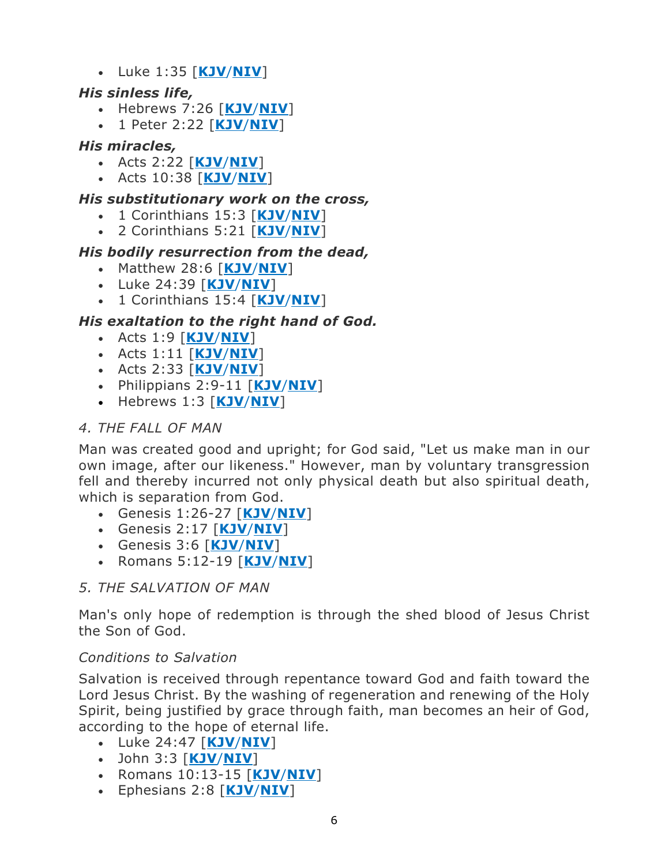• Luke 1:35 [**[KJV](http://bible.gospelcom.net/bible?language=English&version=KJV&passage=Luke+1:35)**/**[NIV](http://bible.gospelcom.net/bible?language=English&version=NIV&passage=Luke+1:35)**]

### *His sinless life,*

- Hebrews 7:26 [**[KJV](http://bible.gospelcom.net/bible?language=English&version=KJV&passage=Hebrews+7:26)**/**[NIV](http://bible.gospelcom.net/bible?language=English&version=NIV&passage=Hebrews+7:26)**]
- 1 Peter 2:22 [**[KJV](http://bible.gospelcom.net/bible?language=English&version=KJV&passage=1+Peter+2:22)**/**[NIV](http://bible.gospelcom.net/bible?language=English&version=NIV&passage=1+Peter+2:22)**]

### *His miracles,*

- Acts 2:22 [**[KJV](http://bible.gospelcom.net/bible?language=English&version=KJV&passage=Acts+2:22)**/**[NIV](http://bible.gospelcom.net/bible?language=English&version=NIV&passage=Acts+2:22)**]
- Acts 10:38 [**[KJV](http://bible.gospelcom.net/bible?language=English&version=KJV&passage=Acts+10:38)**/**[NIV](http://bible.gospelcom.net/bible?language=English&version=NIV&passage=Acts+10:38)**]

#### *His substitutionary work on the cross,*

- 1 Corinthians 15:3 [**[KJV](http://bible.gospelcom.net/bible?language=English&version=KJV&passage=1+Corinthians+15:3)**/**[NIV](http://bible.gospelcom.net/bible?language=English&version=NIV&passage=1+Corinthians+15:3)**]
- 2 Corinthians 5:21 [**[KJV](http://bible.gospelcom.net/bible?language=English&version=KJV&passage=2+Corinthians+5:21)**/**[NIV](http://bible.gospelcom.net/bible?language=English&version=NIV&passage=2+Corinthians+5:21)**]

### *His bodily resurrection from the dead,*

- Matthew 28:6 [**[KJV](http://bible.gospelcom.net/bible?language=English&version=KJV&passage=Matthew+28:6)**/**[NIV](http://bible.gospelcom.net/bible?language=English&version=NIV&passage=Matthew+28:6)**]
- Luke 24:39 [**[KJV](http://bible.gospelcom.net/bible?language=English&version=KJV&passage=Luke+24:39)**/**[NIV](http://bible.gospelcom.net/bible?language=English&version=NIV&passage=Luke+24:39)**]
- 1 Corinthians 15:4 [**[KJV](http://bible.gospelcom.net/bible?language=English&version=KJV&passage=1+Corinthians+15:4)**/**[NIV](http://bible.gospelcom.net/bible?language=English&version=NIV&passage=1+Corinthians+15:4)**]

### *His exaltation to the right hand of God.*

- Acts 1:9 [**[KJV](http://bible.gospelcom.net/bible?language=English&version=KJV&passage=Acts+1:9)**/**[NIV](http://bible.gospelcom.net/bible?language=English&version=NIV&passage=Acts+1:9)**]
- Acts 1:11 [**[KJV](http://bible.gospelcom.net/bible?language=English&version=KJV&passage=Acts+1:11)**/**[NIV](http://bible.gospelcom.net/bible?language=English&version=NIV&passage=Acts+1:11)**]
- Acts 2:33 [**[KJV](http://bible.gospelcom.net/bible?language=English&version=KJV&passage=Acts+2:33)**/**[NIV](http://bible.gospelcom.net/bible?language=English&version=NIV&passage=Acts+2:33)**]
- Philippians 2:9-11 [**[KJV](http://bible.gospelcom.net/bible?language=English&version=KJV&passage=Philippians+2:9-11)**/**[NIV](http://bible.gospelcom.net/bible?language=English&version=NIV&passage=Philippians+2:9-11)**]
- Hebrews 1:3 [**[KJV](http://bible.gospelcom.net/bible?language=English&version=KJV&passage=Hebrews+1:3)**/**[NIV](http://bible.gospelcom.net/bible?language=English&version=NIV&passage=Hebrews+1:3)**]

### *4. THE FALL OF MAN*

Man was created good and upright; for God said, "Let us make man in our own image, after our likeness." However, man by voluntary transgression fell and thereby incurred not only physical death but also spiritual death, which is separation from God.

- Genesis 1:26-27 [**[KJV](http://bible.gospelcom.net/bible?language=English&version=KJV&passage=Genesis+1:26-27)**/**[NIV](http://bible.gospelcom.net/bible?language=English&version=NIV&passage=Genesis+1:26-27)**]
- Genesis 2:17 [**[KJV](http://bible.gospelcom.net/bible?language=English&version=KJV&passage=Genesis+2:17)**/**[NIV](http://bible.gospelcom.net/bible?language=English&version=NIV&passage=Genesis+2:17)**]
- Genesis 3:6 [**[KJV](http://bible.gospelcom.net/bible?language=English&version=KJV&passage=Genesis+3:6)**/**[NIV](http://bible.gospelcom.net/bible?language=English&version=NIV&passage=Genesis+3:6)**]
- Romans 5:12-19 [**[KJV](http://bible.gospelcom.net/bible?language=English&version=KJV&passage=Romans+5:12-19)**/**[NIV](http://bible.gospelcom.net/bible?language=English&version=NIV&passage=Romans+5:12-19)**]

### *5. THE SALVATION OF MAN*

Man's only hope of redemption is through the shed blood of Jesus Christ the Son of God.

#### *Conditions to Salvation*

Salvation is received through repentance toward God and faith toward the Lord Jesus Christ. By the washing of regeneration and renewing of the Holy Spirit, being justified by grace through faith, man becomes an heir of God, according to the hope of eternal life.

- Luke 24:47 [**[KJV](http://bible.gospelcom.net/bible?language=English&version=KJV&passage=Luke+24:47)**/**[NIV](http://bible.gospelcom.net/bible?language=English&version=NIV&passage=Luke+24:47)**]
- John 3:3 [**[KJV](http://bible.gospelcom.net/bible?language=English&version=KJV&passage=John+3:3)**/**[NIV](http://bible.gospelcom.net/bible?language=English&version=NIV&passage=John+3:3)**]
- Romans 10:13-15 [**[KJV](http://bible.gospelcom.net/bible?language=English&version=KJV&passage=Romans+10:13-15)**/**[NIV](http://bible.gospelcom.net/bible?language=English&version=NIV&passage=Romans+10:13-15)**]
- Ephesians 2:8 [**[KJV](http://bible.gospelcom.net/bible?language=English&version=KJV&passage=Ephesians+2:8)**/**[NIV](http://bible.gospelcom.net/bible?language=English&version=NIV&passage=Ephesians+2:8)**]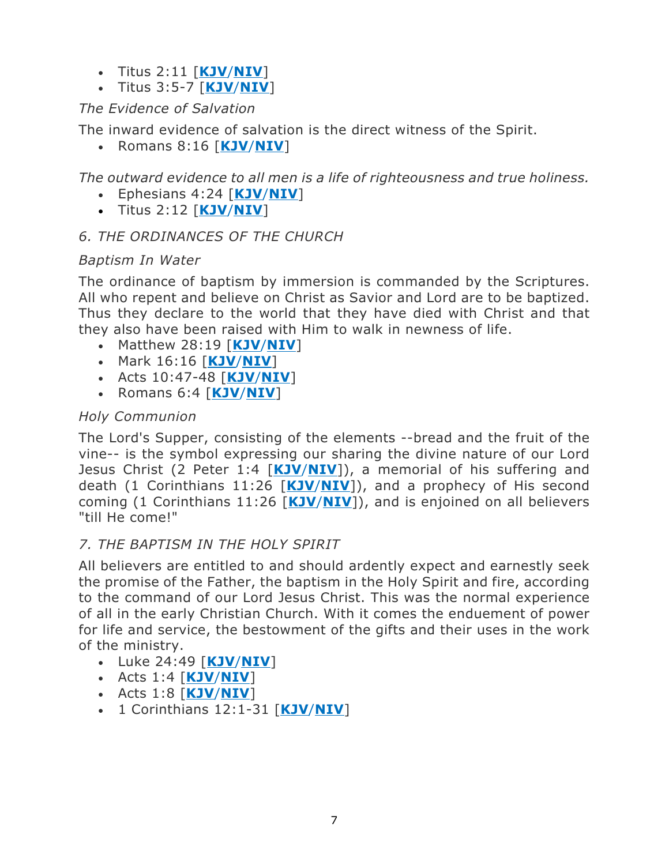- Titus 2:11 [**[KJV](http://bible.gospelcom.net/bible?language=English&version=KJV&passage=Titus+2:11)**/**[NIV](http://bible.gospelcom.net/bible?language=English&version=NIV&passage=Titus+2:11)**]
- Titus 3:5-7 [**[KJV](http://bible.gospelcom.net/bible?language=English&version=KJV&passage=Titus+3:5-7)**/**[NIV](http://bible.gospelcom.net/bible?language=English&version=NIV&passage=Titus+3:5-7)**]

# *The Evidence of Salvation*

The inward evidence of salvation is the direct witness of the Spirit.

• Romans 8:16 [**[KJV](http://bible.gospelcom.net/bible?language=English&version=KJV&passage=Romans+8:16)**/**[NIV](http://bible.gospelcom.net/bible?language=English&version=NIV&passage=Romans+8:16)**]

*The outward evidence to all men is a life of righteousness and true holiness.*

- Ephesians 4:24 [**[KJV](http://bible.gospelcom.net/bible?language=English&version=KJV&passage=Ephesians+4:24)**/**[NIV](http://bible.gospelcom.net/bible?language=English&version=NIV&passage=Ephesians+4:24)**]
- Titus 2:12 [**[KJV](http://bible.gospelcom.net/bible?language=English&version=KJV&passage=Titus+2:12)**/**[NIV](http://bible.gospelcom.net/bible?language=English&version=NIV&passage=Titus+2:12)**]

# *6. THE ORDINANCES OF THE CHURCH*

### *Baptism In Water*

The ordinance of baptism by immersion is commanded by the Scriptures. All who repent and believe on Christ as Savior and Lord are to be baptized. Thus they declare to the world that they have died with Christ and that they also have been raised with Him to walk in newness of life.

- Matthew 28:19 [**[KJV](http://bible.gospelcom.net/bible?language=English&version=KJV&passage=Matthew+28:19)**/**[NIV](http://bible.gospelcom.net/bible?language=English&version=NIV&passage=Matthew+28:19)**]
- Mark 16:16 [**[KJV](http://bible.gospelcom.net/bible?language=English&version=KJV&passage=Mark+16:16)**/**[NIV](http://bible.gospelcom.net/bible?language=English&version=NIV&passage=Mark+16:16)**]
- Acts 10:47-48 [**[KJV](http://bible.gospelcom.net/bible?language=English&version=KJV&passage=Acts+10:47-48)**/**[NIV](http://bible.gospelcom.net/bible?language=English&version=NIV&passage=Acts+10:47-48)**]
- Romans 6:4 [**[KJV](http://bible.gospelcom.net/bible?language=English&version=KJV&passage=Romans+6:4)**/**[NIV](http://bible.gospelcom.net/bible?language=English&version=NIV&passage=Romans+6:4)**]

# *Holy Communion*

The Lord's Supper, consisting of the elements --bread and the fruit of the vine-- is the symbol expressing our sharing the divine nature of our Lord Jesus Christ (2 Peter 1:4 [**[KJV](http://bible.gospelcom.net/bible?language=English&version=KJV&passage=2+Peter+1:4)**/**[NIV](http://bible.gospelcom.net/bible?language=English&version=NIV&passage=2+Peter+1:4)**]), a memorial of his suffering and death (1 Corinthians 11:26 [**[KJV](http://bible.gospelcom.net/bible?language=English&version=KJV&passage=1+Corinthians+11:26)**/**[NIV](http://bible.gospelcom.net/bible?language=English&version=NIV&passage=1+Corinthians+11:26)**]), and a prophecy of His second coming (1 Corinthians 11:26 [**[KJV](http://bible.gospelcom.net/bible?language=English&version=KJV&passage=1+Corinthians+11:26)**/**[NIV](http://bible.gospelcom.net/bible?language=English&version=NIV&passage=1+Corinthians+11:26)**]), and is enjoined on all believers "till He come!"

# *7. THE BAPTISM IN THE HOLY SPIRIT*

All believers are entitled to and should ardently expect and earnestly seek the promise of the Father, the baptism in the Holy Spirit and fire, according to the command of our Lord Jesus Christ. This was the normal experience of all in the early Christian Church. With it comes the enduement of power for life and service, the bestowment of the gifts and their uses in the work of the ministry.

- Luke 24:49 [**[KJV](http://bible.gospelcom.net/bible?language=English&version=KJV&passage=Luke+24:49)**/**[NIV](http://bible.gospelcom.net/bible?language=English&version=NIV&passage=Luke+24:49)**]
- Acts 1:4 [**[KJV](http://bible.gospelcom.net/bible?language=English&version=KJV&passage=Acts+1:4)**/**[NIV](http://bible.gospelcom.net/bible?language=English&version=NIV&passage=Acts+1:4)**]
- Acts 1:8 [**[KJV](http://bible.gospelcom.net/bible?language=English&version=KJV&passage=Acts+1:8)**/**[NIV](http://bible.gospelcom.net/bible?language=English&version=NIV&passage=Acts+1:8)**]
- 1 Corinthians 12:1-31 [**[KJV](http://bible.gospelcom.net/bible?language=English&version=KJV&passage=1+Corinthians+12:1-31)**/**[NIV](http://bible.gospelcom.net/bible?language=English&version=NIV&passage=1+Corinthians+12:1-31)**]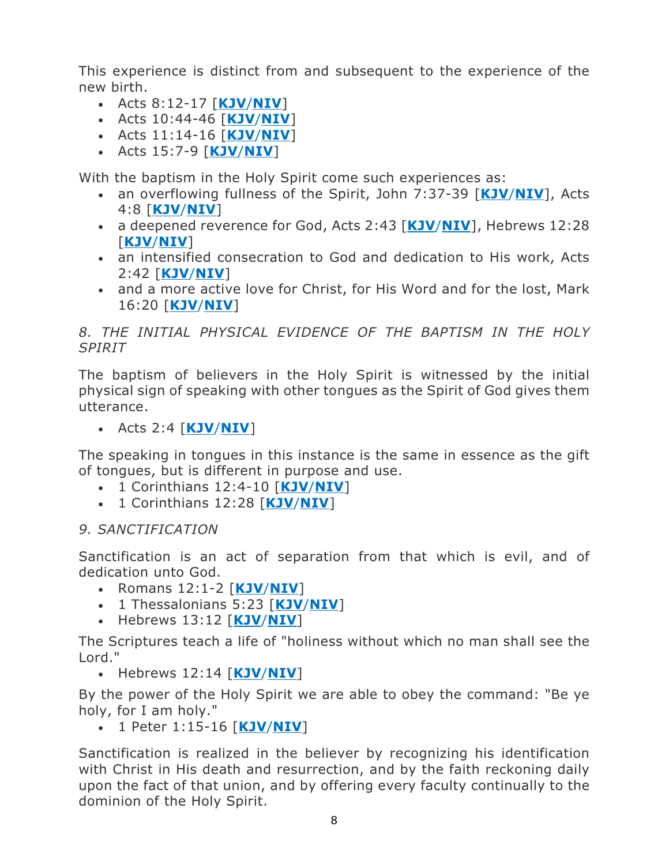This experience is distinct from and subsequent to the experience of the new birth.

- Acts 8:12-17 [**[KJV](http://bible.gospelcom.net/bible?language=English&version=KJV&passage=Acts+8:12-17)**/**[NIV](http://bible.gospelcom.net/bible?language=English&version=NIV&passage=Acts+8:12-17)**]
- Acts 10:44-46 [**[KJV](http://bible.gospelcom.net/bible?language=English&version=KJV&passage=Acts+10:44-46)**/**[NIV](http://bible.gospelcom.net/bible?language=English&version=NIV&passage=Acts+10:44-46)**]
- Acts 11:14-16 [**[KJV](http://bible.gospelcom.net/bible?language=English&version=KJV&passage=Acts+11:14-16)**/**[NIV](http://bible.gospelcom.net/bible?language=English&version=NIV&passage=Acts+11:14-16)**]
- Acts 15:7-9 [**[KJV](http://bible.gospelcom.net/bible?language=English&version=KJV&passage=Acts+15:7-9)**/**[NIV](http://bible.gospelcom.net/bible?language=English&version=NIV&passage=Acts+15:7-9)**]

With the baptism in the Holy Spirit come such experiences as:

- an overflowing fullness of the Spirit, John 7:37-39 [**[KJV](http://bible.gospelcom.net/bible?language=English&version=KJV&passage=John+7:37-39)**/**[NIV](http://bible.gospelcom.net/bible?language=English&version=NIV&passage=John+7:37-39)**], Acts 4:8 [**[KJV](http://bible.gospelcom.net/bible?language=English&version=KJV&passage=Acts+4:8)**/**[NIV](http://bible.gospelcom.net/bible?language=English&version=NIV&passage=Acts+4:8)**]
- a deepened reverence for God, Acts 2:43 [**[KJV](http://bible.gospelcom.net/bible?language=English&version=KJV&passage=Acts+2:43)**/**[NIV](http://bible.gospelcom.net/bible?language=English&version=NIV&passage=Acts+2:43)**], Hebrews 12:28 [**[KJV](http://bible.gospelcom.net/bible?language=English&version=KJV&passage=Hebrews+12:28)**/**[NIV](http://bible.gospelcom.net/bible?language=English&version=NIV&passage=Hebrews+12:28)**]
- an intensified consecration to God and dedication to His work, Acts 2:42 [**[KJV](http://bible.gospelcom.net/bible?language=English&version=KJV&passage=Acts+2:42)**/**[NIV](http://bible.gospelcom.net/bible?language=English&version=NIV&passage=Acts+2:42)**]
- and a more active love for Christ, for His Word and for the lost, Mark 16:20 [**[KJV](http://bible.gospelcom.net/bible?language=English&version=KJV&passage=Mark+16:20)**/**[NIV](http://bible.gospelcom.net/bible?language=English&version=NIV&passage=Mark+16:20)**]

### *8. THE INITIAL PHYSICAL EVIDENCE OF THE BAPTISM IN THE HOLY SPIRIT*

The baptism of believers in the Holy Spirit is witnessed by the initial physical sign of speaking with other tongues as the Spirit of God gives them utterance.

• Acts 2:4 [**[KJV](http://bible.gospelcom.net/bible?language=English&version=KJV&passage=Acts+2:4)**/**[NIV](http://bible.gospelcom.net/bible?language=English&version=NIV&passage=Acts+2:4)**]

The speaking in tongues in this instance is the same in essence as the gift of tongues, but is different in purpose and use.

- 1 Corinthians 12:4-10 [**[KJV](http://bible.gospelcom.net/bible?language=English&version=KJV&passage=1+Corinthians+12:4-10)**/**[NIV](http://bible.gospelcom.net/bible?language=English&version=NIV&passage=1+Corinthians+12:4-10)**]
- 1 Corinthians 12:28 [**[KJV](http://bible.gospelcom.net/bible?language=English&version=KJV&passage=1+Corinthians+12:28)**/**[NIV](http://bible.gospelcom.net/bible?language=English&version=NIV&passage=1+Corinthians+12:28)**]

### *9. SANCTIFICATION*

Sanctification is an act of separation from that which is evil, and of dedication unto God.

- Romans 12:1-2 [**[KJV](http://bible.gospelcom.net/bible?language=English&version=KJV&passage=Romans+12:1-2)**/**[NIV](http://bible.gospelcom.net/bible?language=English&version=NIV&passage=Romans+12:1-2)**]
- 1 Thessalonians 5:23 [**[KJV](http://bible.gospelcom.net/bible?language=English&version=KJV&passage=1+Thessalonians+5:23)**/**[NIV](http://bible.gospelcom.net/bible?language=English&version=NIV&passage=1+Thessalonians+5:23)**]
- Hebrews 13:12 [**[KJV](http://bible.gospelcom.net/bible?language=English&version=KJV&passage=Hebrews+13:12)**/**[NIV](http://bible.gospelcom.net/bible?language=English&version=NIV&passage=Hebrews+13:12)**]

The Scriptures teach a life of "holiness without which no man shall see the Lord."

• Hebrews 12:14 [**[KJV](http://bible.gospelcom.net/bible?language=English&version=KJV&passage=Hebrews+12:14)**/**[NIV](http://bible.gospelcom.net/bible?language=English&version=NIV&passage=Hebrews+12:14)**]

By the power of the Holy Spirit we are able to obey the command: "Be ye holy, for I am holy."

• 1 Peter 1:15-16 [**[KJV](http://bible.gospelcom.net/bible?language=English&version=KJV&passage=1+Peter+1:15-16)**/**[NIV](http://bible.gospelcom.net/bible?language=English&version=NIV&passage=1+Peter+1:15-16)**]

Sanctification is realized in the believer by recognizing his identification with Christ in His death and resurrection, and by the faith reckoning daily upon the fact of that union, and by offering every faculty continually to the dominion of the Holy Spirit.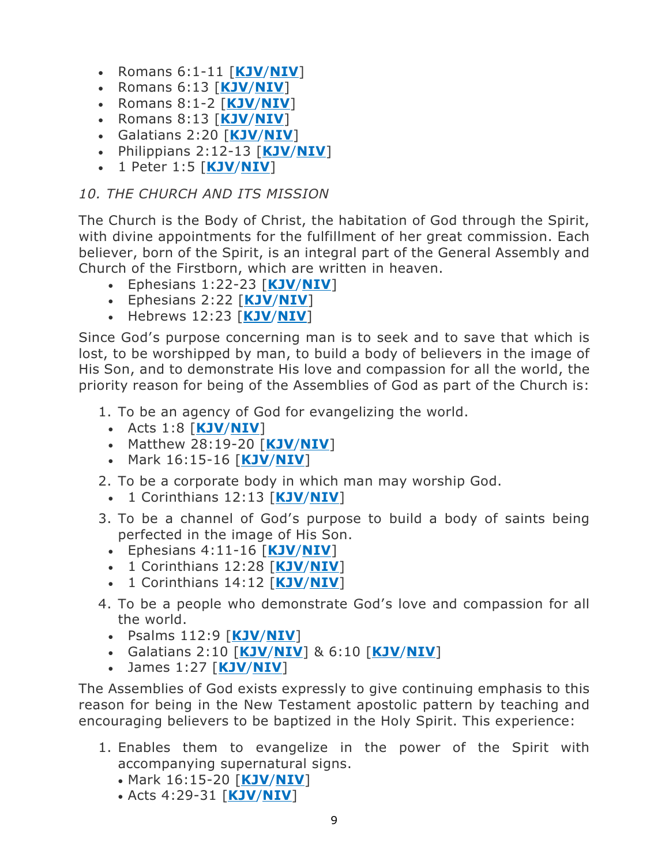- Romans 6:1-11 [**[KJV](http://bible.gospelcom.net/bible?language=English&version=KJV&passage=Romans+6:1-11)**/**[NIV](http://bible.gospelcom.net/bible?language=English&version=NIV&passage=Romans+6:1-11)**]
- Romans 6:13 [**[KJV](http://bible.gospelcom.net/bible?language=English&version=KJV&passage=Romans+6:13)**/**[NIV](http://bible.gospelcom.net/bible?language=English&version=NIV&passage=Romans+6:13)**]
- Romans 8:1-2 [**[KJV](http://bible.gospelcom.net/bible?language=English&version=KJV&passage=Romans+8:1-2)**/**[NIV](http://bible.gospelcom.net/bible?language=English&version=NIV&passage=Romans+8:1-2)**]
- Romans 8:13 [**[KJV](http://bible.gospelcom.net/bible?language=English&version=KJV&passage=Romans+8:13)**/**[NIV](http://bible.gospelcom.net/bible?language=English&version=NIV&passage=Romans+8:13)**]
- Galatians 2:20 [**[KJV](http://bible.gospelcom.net/bible?language=English&version=KJV&passage=Galatians+2:20)**/**[NIV](http://bible.gospelcom.net/bible?language=English&version=NIV&passage=Galatians+2:20)**]
- Philippians 2:12-13 [**[KJV](http://bible.gospelcom.net/bible?language=English&version=KJV&passage=Philippians+2:12-13)**/**[NIV](http://bible.gospelcom.net/bible?language=English&version=NIV&passage=Philippians+2:12-13)**]
- 1 Peter 1:5 [**[KJV](http://bible.gospelcom.net/bible?language=English&version=KJV&passage=1+Peter+1:5)**/**[NIV](http://bible.gospelcom.net/bible?language=English&version=NIV&passage=1+Peter+1:5)**]

### *10. THE CHURCH AND ITS MISSION*

The Church is the Body of Christ, the habitation of God through the Spirit, with divine appointments for the fulfillment of her great commission. Each believer, born of the Spirit, is an integral part of the General Assembly and Church of the Firstborn, which are written in heaven.

- Ephesians 1:22-23 [**[KJV](http://bible.gospelcom.net/bible?language=English&version=KJV&passage=Ephesians+1:22-23)**/**[NIV](http://bible.gospelcom.net/bible?language=English&version=NIV&passage=Ephesians+1:22-23)**]
- Ephesians 2:22 [**[KJV](http://bible.gospelcom.net/bible?language=English&version=KJV&passage=Ephesians+2:22)**/**[NIV](http://bible.gospelcom.net/bible?language=English&version=NIV&passage=Ephesians+2:22)**]
- Hebrews 12:23 [**[KJV](http://bible.gospelcom.net/bible?language=English&version=KJV&passage=Hebrews+12:23)**/**[NIV](http://bible.gospelcom.net/bible?language=English&version=NIV&passage=Hebrews+12:23)**]

Since God's purpose concerning man is to seek and to save that which is lost, to be worshipped by man, to build a body of believers in the image of His Son, and to demonstrate His love and compassion for all the world, the priority reason for being of the Assemblies of God as part of the Church is:

- 1. To be an agency of God for evangelizing the world.
	- Acts 1:8 [**[KJV](http://bible.gospelcom.net/bible?language=English&version=KJV&passage=Acts+1:8)**/**[NIV](http://bible.gospelcom.net/bible?language=English&version=NIV&passage=Acts+1:8)**]
	- Matthew 28:19-20 [**[KJV](http://bible.gospelcom.net/bible?language=English&version=KJV&passage=Matthew+28:19-20)**/**[NIV](http://bible.gospelcom.net/bible?language=English&version=NIV&passage=Matthew+28:19-20)**]
	- Mark 16:15-16 [**[KJV](http://bible.gospelcom.net/bible?language=English&version=KJV&passage=Mark+16:15-16)**/**[NIV](http://bible.gospelcom.net/bible?language=English&version=NIV&passage=Mark+16:15-16)**]
- 2. To be a corporate body in which man may worship God.
	- 1 Corinthians 12:13 [**[KJV](http://bible.gospelcom.net/bible?language=English&version=KJV&passage=1+Corinthians+12:13)**/**[NIV](http://bible.gospelcom.net/bible?language=English&version=NIV&passage=1+Corinthians+12:13)**]
- 3. To be a channel of God's purpose to build a body of saints being perfected in the image of His Son.
	- Ephesians 4:11-16 [**[KJV](http://bible.gospelcom.net/bible?language=English&version=KJV&passage=Ephesians+4:11-16)**/**[NIV](http://bible.gospelcom.net/bible?language=English&version=NIV&passage=Ephesians+4:11-16)**]
	- 1 Corinthians 12:28 [**[KJV](http://bible.gospelcom.net/bible?language=English&version=KJV&passage=1+Corinthians+12:28)**/**[NIV](http://bible.gospelcom.net/bible?language=English&version=NIV&passage=1+Corinthians+12:28)**]
	- 1 Corinthians 14:12 [**[KJV](http://bible.gospelcom.net/bible?language=English&version=KJV&passage=1+Corinthians+14:12)**/**[NIV](http://bible.gospelcom.net/bible?language=English&version=NIV&passage=1+Corinthians+14:12)**]
- 4. To be a people who demonstrate God's love and compassion for all the world.
	- Psalms 112:9 [**[KJV](http://www.biblegateway.com/passage/?search=Psalm%20112:9&version=KJV)**/**[NIV](http://www.biblegateway.com/passage/?search=Psalm%20112:9&version=NIV)**]
	- Galatians 2:10 [**[KJV](http://www.biblegateway.com/passage/?search=Galatians%202:10&version=KJV)**/**[NIV](http://www.biblegateway.com/passage/?search=Galatians%202:10&version=NIV)**] & 6:10 [**[KJV](https://www.biblegateway.com/passage/?search=Galatians+6%3A10&version=KJV)**/**[NIV](https://www.biblegateway.com/passage/?search=Galatians+6%3A10&version=KJV)**]
	- James 1:27 [**[KJV](http://www.biblegateway.com/passage/?search=James%201:27&version=KJV)**/**[NIV](http://www.biblegateway.com/passage/?search=James%201:27&version=NIV)**]

The Assemblies of God exists expressly to give continuing emphasis to this reason for being in the New Testament apostolic pattern by teaching and encouraging believers to be baptized in the Holy Spirit. This experience:

- 1. Enables them to evangelize in the power of the Spirit with accompanying supernatural signs.
	- Mark 16:15-20 [**[KJV](http://bible.gospelcom.net/bible?language=English&version=KJV&passage=Mark+16:15-20)**/**[NIV](http://bible.gospelcom.net/bible?language=English&version=NIV&passage=Mark+16:15-20)**]
	- Acts 4:29-31 [**[KJV](http://bible.gospelcom.net/bible?language=English&version=KJV&passage=Acts+4:29-31)**/**[NIV](http://bible.gospelcom.net/bible?language=English&version=NIV&passage=Acts+4:29-31)**]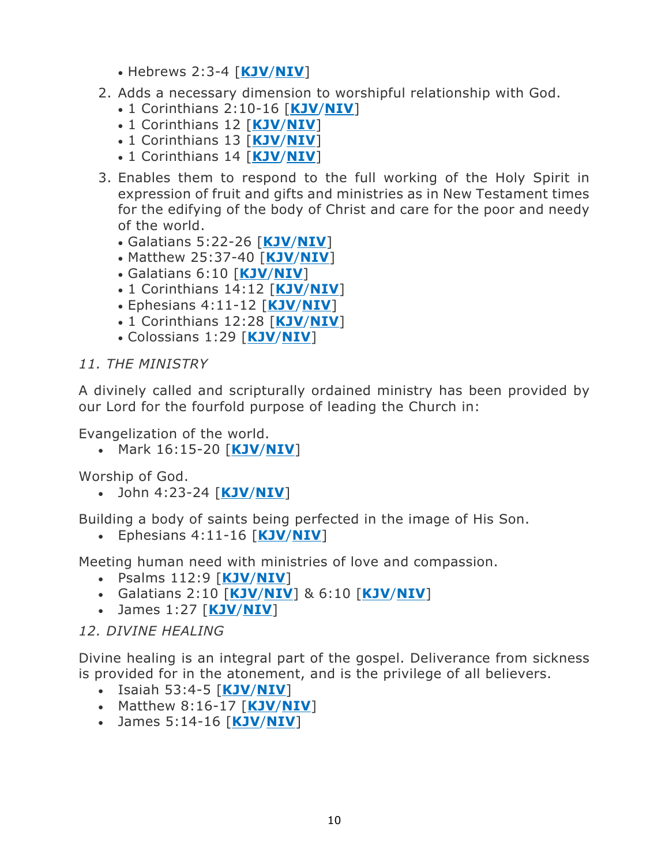- Hebrews 2:3-4 [**[KJV](http://bible.gospelcom.net/bible?language=English&version=KJV&passage=Hebrews+2:3-4)**/**[NIV](http://bible.gospelcom.net/bible?language=English&version=NIV&passage=Hebrews+2:3-4)**]
- 2. Adds a necessary dimension to worshipful relationship with God.
	- 1 Corinthians 2:10-16 [**[KJV](http://bible.gospelcom.net/bible?language=English&version=KJV&passage=1+Corinthians+2:10-16)**/**[NIV](http://bible.gospelcom.net/bible?language=English&version=NIV&passage=1+Corinthians+2:10-16)**]
	- 1 Corinthians 12 [**[KJV](http://bible.gospelcom.net/bible?language=English&version=KJV&passage=1+Corinthians+12)**/**[NIV](http://bible.gospelcom.net/bible?language=English&version=NIV&passage=1+Corinthians+12)**]
	- 1 Corinthians 13 [**[KJV](http://bible.gospelcom.net/bible?language=English&version=KJV&passage=1+Corinthians+13)**/**[NIV](http://bible.gospelcom.net/bible?language=English&version=NIV&passage=1+Corinthians+13)**]
	- 1 Corinthians 14 [**[KJV](http://bible.gospelcom.net/bible?language=English&version=KJV&passage=1+Corinthians+14)**/**[NIV](http://bible.gospelcom.net/bible?language=English&version=NIV&passage=1+Corinthians+14)**]
- 3. Enables them to respond to the full working of the Holy Spirit in expression of fruit and gifts and ministries as in New Testament times for the edifying of the body of Christ and care for the poor and needy of the world.
	- Galatians 5:22-26 [**[KJV](http://bible.gospelcom.net/bible?language=English&version=KJV&passage=Galatians+5:22-26)**/**[NIV](http://bible.gospelcom.net/bible?language=English&version=NIV&passage=Galatians+5:22-26)**]
	- Matthew 25:37-40 [**[KJV](http://www.biblegateway.com/passage/?search=Matthew%2025:37-40&version=KJV)**/**[NIV](http://www.biblegateway.com/passage/?search=Matthew%2025:37-40&version=NIV)**]
	- Galatians 6:10 [**[KJV](http://www.biblegateway.com/passage/?search=Galatians%206:10&version=KJV)**/**[NIV](http://www.biblegateway.com/passage/?search=Galatians%206:10&version=NIV)**]
	- 1 Corinthians 14:12 [**[KJV](http://bible.gospelcom.net/bible?language=English&version=KJV&passage=1+Corinthians+14:12)**/**[NIV](http://bible.gospelcom.net/bible?language=English&version=NIV&passage=1+Corinthians+14:12)**]
	- Ephesians 4:11-12 [**[KJV](http://bible.gospelcom.net/bible?language=English&version=KJV&passage=Ephesians+4:11-12)**/**[NIV](http://bible.gospelcom.net/bible?language=English&version=NIV&passage=Ephesians+4:11-12)**]
	- 1 Corinthians 12:28 [**[KJV](http://bible.gospelcom.net/bible?language=English&version=KJV&passage=1+Corinthians+12:28)**/**[NIV](http://bible.gospelcom.net/bible?language=English&version=NIV&passage=1+Corinthians+12:28)**]
	- Colossians 1:29 [**[KJV](http://bible.gospelcom.net/bible?language=English&version=KJV&passage=Colossians+1:29)**/**[NIV](http://bible.gospelcom.net/bible?language=English&version=NIV&passage=Colossians+1:29)**]

#### *11. THE MINISTRY*

A divinely called and scripturally ordained ministry has been provided by our Lord for the fourfold purpose of leading the Church in:

Evangelization of the world.

• Mark 16:15-20 [**[KJV](http://bible.gospelcom.net/bible?language=English&version=KJV&passage=Mark+16:15-20)**/**[NIV](http://bible.gospelcom.net/bible?language=English&version=NIV&passage=Mark+16:15-20)**]

Worship of God.

• John 4:23-24 [**[KJV](http://bible.gospelcom.net/bible?language=English&version=KJV&passage=John+4:23-24)**/**[NIV](http://bible.gospelcom.net/bible?language=English&version=NIV&passage=John+4:23-24)**]

Building a body of saints being perfected in the image of His Son.

• Ephesians 4:11-16 [**[KJV](http://bible.gospelcom.net/bible?language=English&version=KJV&passage=Ephesians+4:11-16)**/**[NIV](http://bible.gospelcom.net/bible?language=English&version=NIV&passage=Ephesians+4:11-16)**]

Meeting human need with ministries of love and compassion.

- Psalms 112:9 [**[KJV](http://www.biblegateway.com/passage/?search=Psalm%20112:9&version=KJV)**/**[NIV](http://www.biblegateway.com/passage/?search=Psalm%20112:9&version=NIV)**]
- Galatians 2:10 [**[KJV](http://www.biblegateway.com/passage/?search=Galatians%202:10&version=KJV)**/**[NIV](http://www.biblegateway.com/passage/?search=Galatians%202:10&version=NIV)**] & 6:10 [**[KJV](https://www.biblegateway.com/passage/?search=Galatians+6%3A10&version=KJV)**/**[NIV](https://www.biblegateway.com/passage/?search=Galatians+6%3A10&version=KJV)**]
- James 1:27 [**[KJV](http://www.biblegateway.com/passage/?search=James%201:27&version=KJV)**/**[NIV](http://www.biblegateway.com/passage/?search=James%201:27&version=NIV)**]

### *12. DIVINE HEALING*

Divine healing is an integral part of the gospel. Deliverance from sickness is provided for in the atonement, and is the privilege of all believers.

- Isaiah 53:4-5 [**[KJV](http://bible.gospelcom.net/bible?language=English&version=KJV&passage=Isaiah+53:4-5)**/**[NIV](http://bible.gospelcom.net/bible?language=English&version=NIV&passage=Isaiah+53:4-5)**]
- Matthew 8:16-17 [**[KJV](http://bible.gospelcom.net/bible?language=English&version=KJV&passage=Matthew+8:16-17)**/**[NIV](http://bible.gospelcom.net/bible?language=English&version=NIV&passage=Matthew+8:16-17)**]
- James 5:14-16 [**[KJV](http://bible.gospelcom.net/bible?language=English&version=KJV&passage=James+5:14-16)**/**[NIV](http://bible.gospelcom.net/bible?language=English&version=NIV&passage=James+5:14-16)**]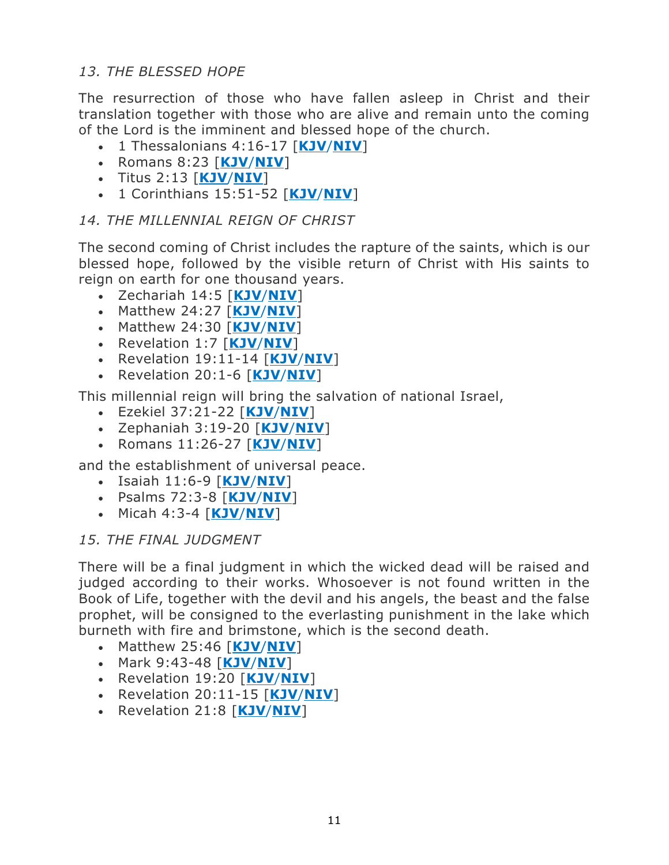### *13. THE BLESSED HOPE*

The resurrection of those who have fallen asleep in Christ and their translation together with those who are alive and remain unto the coming of the Lord is the imminent and blessed hope of the church.

- 1 Thessalonians 4:16-17 [**[KJV](http://bible.gospelcom.net/bible?language=English&version=KJV&passage=1+Thessalonians+4:16-17)**/**[NIV](http://bible.gospelcom.net/bible?language=English&version=NIV&passage=1+Thessalonians+4:16-17)**]
- Romans 8:23 [**[KJV](http://bible.gospelcom.net/bible?language=English&version=KJV&passage=Romans+8:23)**/**[NIV](http://bible.gospelcom.net/bible?language=English&version=NIV&passage=Romans+8:23)**]
- Titus 2:13 [**[KJV](http://bible.gospelcom.net/bible?language=English&version=KJV&passage=Titus+2:13)**/**[NIV](http://bible.gospelcom.net/bible?language=English&version=NIV&passage=Titus+2:13)**]
- 1 Corinthians 15:51-52 [**[KJV](http://bible.gospelcom.net/bible?language=English&version=KJV&passage=1+Corinthians+15:51-52)**/**[NIV](http://bible.gospelcom.net/bible?language=English&version=NIV&passage=1+Corinthians+15:51-52)**]

### *14. THE MILLENNIAL REIGN OF CHRIST*

The second coming of Christ includes the rapture of the saints, which is our blessed hope, followed by the visible return of Christ with His saints to reign on earth for one thousand years.

- Zechariah 14:5 [**[KJV](http://bible.gospelcom.net/bible?language=English&version=KJV&passage=Zechariah+14:5)**/**[NIV](http://bible.gospelcom.net/bible?language=English&version=NIV&passage=Zechariah+14:5)**]
- Matthew 24:27 [**[KJV](http://bible.gospelcom.net/bible?language=English&version=KJV&passage=Matthew+24:27)**/**[NIV](http://bible.gospelcom.net/bible?language=English&version=NIV&passage=Matthew+24:27)**]
- Matthew 24:30 [**[KJV](http://bible.gospelcom.net/bible?language=English&version=KJV&passage=Matthew+24:30)**/**[NIV](http://bible.gospelcom.net/bible?language=English&version=NIV&passage=Matthew+24:30)**]
- Revelation 1:7 [**[KJV](http://bible.gospelcom.net/bible?language=English&version=KJV&passage=Revelation+1:7)**/**[NIV](http://bible.gospelcom.net/bible?language=English&version=NIV&passage=Revelation+1:7)**]
- Revelation 19:11-14 [**[KJV](http://bible.gospelcom.net/bible?language=English&version=KJV&passage=Revelation+19:11-14)**/**[NIV](http://bible.gospelcom.net/bible?language=English&version=NIV&passage=Revelation+19:11-14)**]
- Revelation 20:1-6 [**[KJV](http://bible.gospelcom.net/bible?language=English&version=KJV&passage=Revelation+20:1-6)**/**[NIV](http://bible.gospelcom.net/bible?language=English&version=NIV&passage=Revelation+20:1-6)**]

This millennial reign will bring the salvation of national Israel,

- Ezekiel 37:21-22 [**[KJV](http://bible.gospelcom.net/bible?language=English&version=KJV&passage=Ezekiel+37:21-22)**/**[NIV](http://bible.gospelcom.net/bible?language=English&version=NIV&passage=Ezekiel+37:21-22)**]
- Zephaniah 3:19-20 [**[KJV](http://bible.gospelcom.net/bible?language=English&version=KJV&passage=Zephaniah+3:19-20)**/**[NIV](http://bible.gospelcom.net/bible?language=English&version=NIV&passage=Zephaniah+3:19-20)**]
- Romans 11:26-27 [**[KJV](http://bible.gospelcom.net/bible?language=English&version=KJV&passage=Romans+11:26-27)**/**[NIV](http://bible.gospelcom.net/bible?language=English&version=NIV&passage=Romans+11:26-27)**]

and the establishment of universal peace.

- Isaiah 11:6-9 [**[KJV](http://bible.gospelcom.net/bible?language=English&version=KJV&passage=Isaiah+11:6-9)**/**[NIV](http://bible.gospelcom.net/bible?language=English&version=NIV&passage=Isaiah+11:6-9)**]
- Psalms 72:3-8 [**[KJV](http://bible.gospelcom.net/bible?language=English&version=KJV&passage=Psalm+72:3-8)**/**[NIV](http://bible.gospelcom.net/bible?language=English&version=NIV&passage=Psalm+72:3-8)**]
- Micah 4:3-4 [**[KJV](http://bible.gospelcom.net/bible?language=English&version=KJV&passage=Micah+4:3-4)**/**[NIV](http://bible.gospelcom.net/bible?language=English&version=NIV&passage=Micah+4:3-4)**]

### *15. THE FINAL JUDGMENT*

There will be a final judgment in which the wicked dead will be raised and judged according to their works. Whosoever is not found written in the Book of Life, together with the devil and his angels, the beast and the false prophet, will be consigned to the everlasting punishment in the lake which burneth with fire and brimstone, which is the second death.

- Matthew 25:46 [**[KJV](http://bible.gospelcom.net/bible?language=English&version=KJV&passage=Matthew+25:46)**/**[NIV](http://bible.gospelcom.net/bible?language=English&version=NIV&passage=Matthew+25:46)**]
- Mark 9:43-48 [**[KJV](http://bible.gospelcom.net/bible?language=English&version=KJV&passage=Mark+9:43-48)**/**[NIV](http://bible.gospelcom.net/bible?language=English&version=NIV&passage=Mark+9:43-48)**]
- Revelation 19:20 [**[KJV](http://bible.gospelcom.net/bible?language=English&version=KJV&passage=Revelation+19:20)**/**[NIV](http://bible.gospelcom.net/bible?language=English&version=NIV&passage=Revelation+19:20)**]
- Revelation 20:11-15 [**[KJV](http://bible.gospelcom.net/bible?language=English&version=KJV&passage=Revelation+20:11-15)**/**[NIV](http://bible.gospelcom.net/bible?language=English&version=NIV&passage=Revelation+20:11-15)**]
- Revelation 21:8 [**[KJV](http://bible.gospelcom.net/bible?language=English&version=KJV&passage=Revelation+21:8)**/**[NIV](http://bible.gospelcom.net/bible?language=English&version=NIV&passage=Revelation+21:8)**]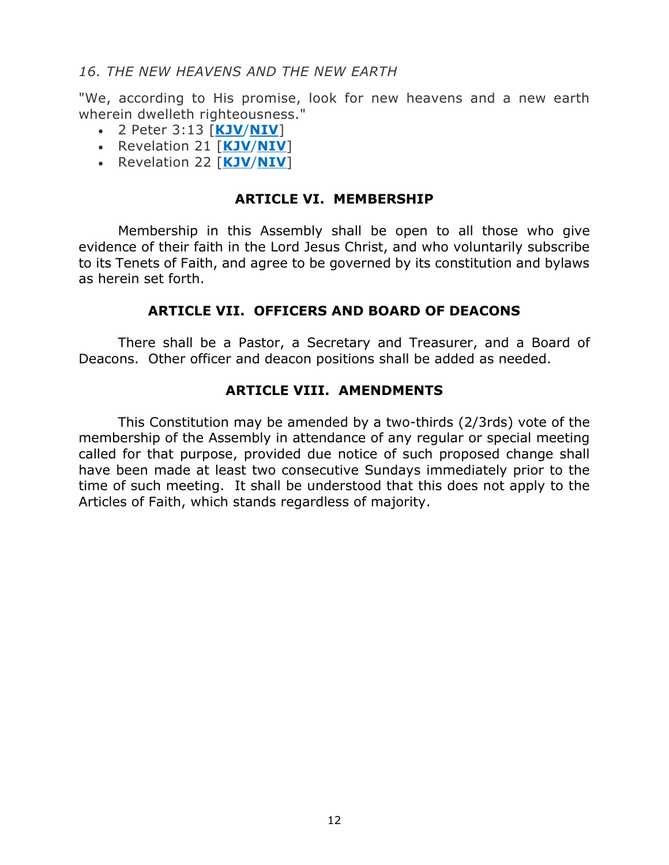#### *16. THE NEW HEAVENS AND THE NEW EARTH*

"We, according to His promise, look for new heavens and a new earth wherein dwelleth righteousness."

- 2 Peter 3:13 [**[KJV](http://bible.gospelcom.net/bible?language=English&version=KJV&passage=2+Peter+3:13)**/**[NIV](http://bible.gospelcom.net/bible?language=English&version=NIV&passage=2+Peter+3:13)**]
- Revelation 21 [**[KJV](http://bible.gospelcom.net/bible?language=English&version=KJV&passage=Revelation+21)**/**[NIV](http://bible.gospelcom.net/bible?language=English&version=NIV&passage=Revelation+21)**]
- Revelation 22 [**[KJV](http://bible.gospelcom.net/bible?language=English&version=KJV&passage=Revelation+22)**/**[NIV](http://bible.gospelcom.net/bible?language=English&version=NIV&passage=Revelation+22)**]

#### **ARTICLE VI. MEMBERSHIP**

Membership in this Assembly shall be open to all those who give evidence of their faith in the Lord Jesus Christ, and who voluntarily subscribe to its Tenets of Faith, and agree to be governed by its constitution and bylaws as herein set forth.

#### **ARTICLE VII. OFFICERS AND BOARD OF DEACONS**

There shall be a Pastor, a Secretary and Treasurer, and a Board of Deacons. Other officer and deacon positions shall be added as needed.

#### **ARTICLE VIII. AMENDMENTS**

This Constitution may be amended by a two-thirds (2/3rds) vote of the membership of the Assembly in attendance of any regular or special meeting called for that purpose, provided due notice of such proposed change shall have been made at least two consecutive Sundays immediately prior to the time of such meeting. It shall be understood that this does not apply to the Articles of Faith, which stands regardless of majority.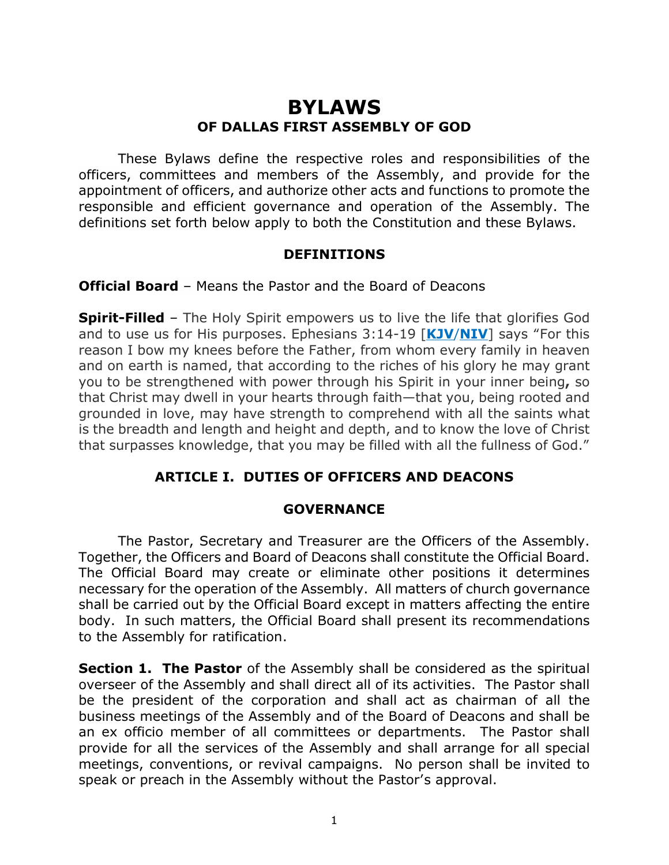# **BYLAWS OF DALLAS FIRST ASSEMBLY OF GOD**

These Bylaws define the respective roles and responsibilities of the officers, committees and members of the Assembly, and provide for the appointment of officers, and authorize other acts and functions to promote the responsible and efficient governance and operation of the Assembly. The definitions set forth below apply to both the Constitution and these Bylaws.

#### **DEFINITIONS**

**Official Board** – Means the Pastor and the Board of Deacons

**Spirit-Filled** – The Holy Spirit empowers us to live the life that glorifies God and to use us for His purposes. Ephesians 3:14-19 [**[KJV](https://www.biblegateway.com/passage/?search=ephesians+3%3A14-19&version=KJV)**/**[NIV](https://www.biblegateway.com/passage/?search=ephesians+3%3A14-19&version=KJV)**] says "For this reason I bow my knees before the Father, from whom every family in heaven and on earth is named, that according to the riches of his glory he may grant you to be strengthened with power through his Spirit in your inner being**,** so that Christ may dwell in your hearts through faith—that you, being rooted and grounded in love, may have strength to comprehend with all the saints what is the breadth and length and height and depth, and to know the love of Christ that surpasses knowledge, that you may be filled with all the fullness of God."

### **ARTICLE I. DUTIES OF OFFICERS AND DEACONS**

#### **GOVERNANCE**

The Pastor, Secretary and Treasurer are the Officers of the Assembly. Together, the Officers and Board of Deacons shall constitute the Official Board. The Official Board may create or eliminate other positions it determines necessary for the operation of the Assembly. All matters of church governance shall be carried out by the Official Board except in matters affecting the entire body. In such matters, the Official Board shall present its recommendations to the Assembly for ratification.

**Section 1. The Pastor** of the Assembly shall be considered as the spiritual overseer of the Assembly and shall direct all of its activities. The Pastor shall be the president of the corporation and shall act as chairman of all the business meetings of the Assembly and of the Board of Deacons and shall be an ex officio member of all committees or departments. The Pastor shall provide for all the services of the Assembly and shall arrange for all special meetings, conventions, or revival campaigns. No person shall be invited to speak or preach in the Assembly without the Pastor's approval.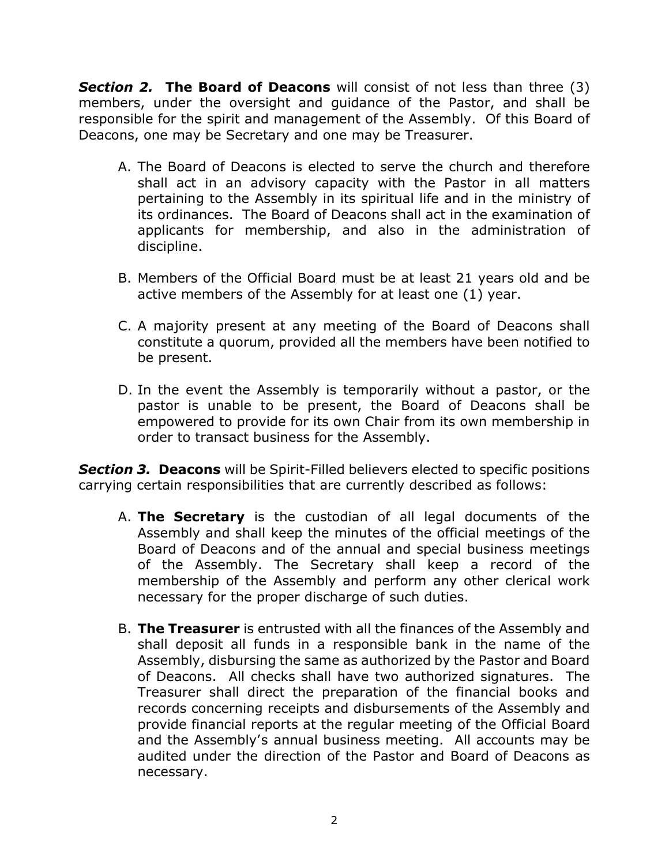*Section 2.* **The Board of Deacons** will consist of not less than three (3) members, under the oversight and guidance of the Pastor, and shall be responsible for the spirit and management of the Assembly. Of this Board of Deacons, one may be Secretary and one may be Treasurer.

- A. The Board of Deacons is elected to serve the church and therefore shall act in an advisory capacity with the Pastor in all matters pertaining to the Assembly in its spiritual life and in the ministry of its ordinances. The Board of Deacons shall act in the examination of applicants for membership, and also in the administration of discipline.
- B. Members of the Official Board must be at least 21 years old and be active members of the Assembly for at least one (1) year.
- C. A majority present at any meeting of the Board of Deacons shall constitute a quorum, provided all the members have been notified to be present.
- D. In the event the Assembly is temporarily without a pastor, or the pastor is unable to be present, the Board of Deacons shall be empowered to provide for its own Chair from its own membership in order to transact business for the Assembly.

**Section 3. Deacons** will be Spirit-Filled believers elected to specific positions carrying certain responsibilities that are currently described as follows:

- A. **The Secretary** is the custodian of all legal documents of the Assembly and shall keep the minutes of the official meetings of the Board of Deacons and of the annual and special business meetings of the Assembly. The Secretary shall keep a record of the membership of the Assembly and perform any other clerical work necessary for the proper discharge of such duties.
- B. **The Treasurer** is entrusted with all the finances of the Assembly and shall deposit all funds in a responsible bank in the name of the Assembly, disbursing the same as authorized by the Pastor and Board of Deacons. All checks shall have two authorized signatures. The Treasurer shall direct the preparation of the financial books and records concerning receipts and disbursements of the Assembly and provide financial reports at the regular meeting of the Official Board and the Assembly's annual business meeting. All accounts may be audited under the direction of the Pastor and Board of Deacons as necessary.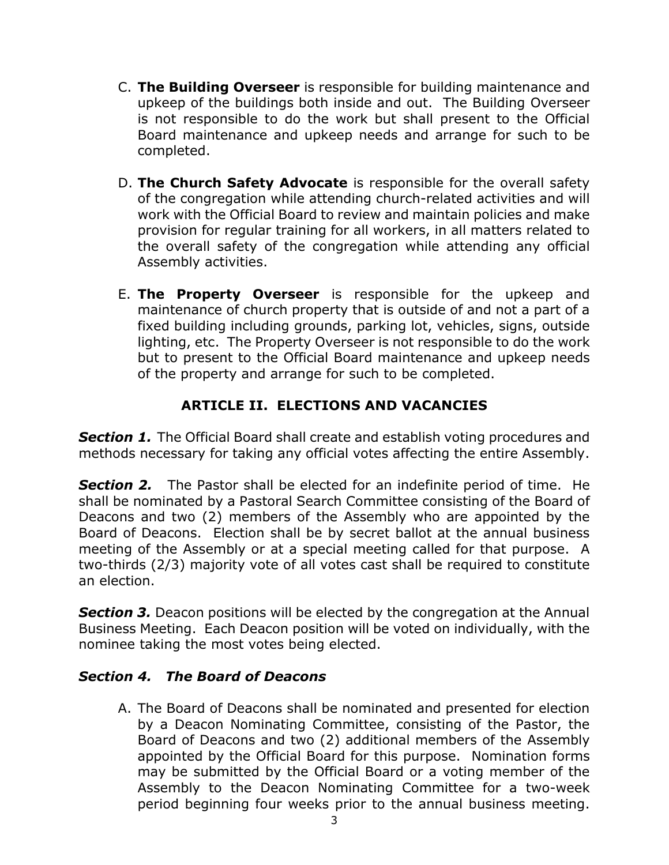- C. **The Building Overseer** is responsible for building maintenance and upkeep of the buildings both inside and out. The Building Overseer is not responsible to do the work but shall present to the Official Board maintenance and upkeep needs and arrange for such to be completed.
- D. **The Church Safety Advocate** is responsible for the overall safety of the congregation while attending church-related activities and will work with the Official Board to review and maintain policies and make provision for regular training for all workers, in all matters related to the overall safety of the congregation while attending any official Assembly activities.
- E. **The Property Overseer** is responsible for the upkeep and maintenance of church property that is outside of and not a part of a fixed building including grounds, parking lot, vehicles, signs, outside lighting, etc. The Property Overseer is not responsible to do the work but to present to the Official Board maintenance and upkeep needs of the property and arrange for such to be completed.

# **ARTICLE II. ELECTIONS AND VACANCIES**

**Section 1.** The Official Board shall create and establish voting procedures and methods necessary for taking any official votes affecting the entire Assembly.

*Section 2.* The Pastor shall be elected for an indefinite period of time. He shall be nominated by a Pastoral Search Committee consisting of the Board of Deacons and two (2) members of the Assembly who are appointed by the Board of Deacons. Election shall be by secret ballot at the annual business meeting of the Assembly or at a special meeting called for that purpose. A two-thirds (2/3) majority vote of all votes cast shall be required to constitute an election.

**Section 3.** Deacon positions will be elected by the congregation at the Annual Business Meeting. Each Deacon position will be voted on individually, with the nominee taking the most votes being elected.

#### *Section 4. The Board of Deacons*

A. The Board of Deacons shall be nominated and presented for election by a Deacon Nominating Committee, consisting of the Pastor, the Board of Deacons and two (2) additional members of the Assembly appointed by the Official Board for this purpose. Nomination forms may be submitted by the Official Board or a voting member of the Assembly to the Deacon Nominating Committee for a two-week period beginning four weeks prior to the annual business meeting.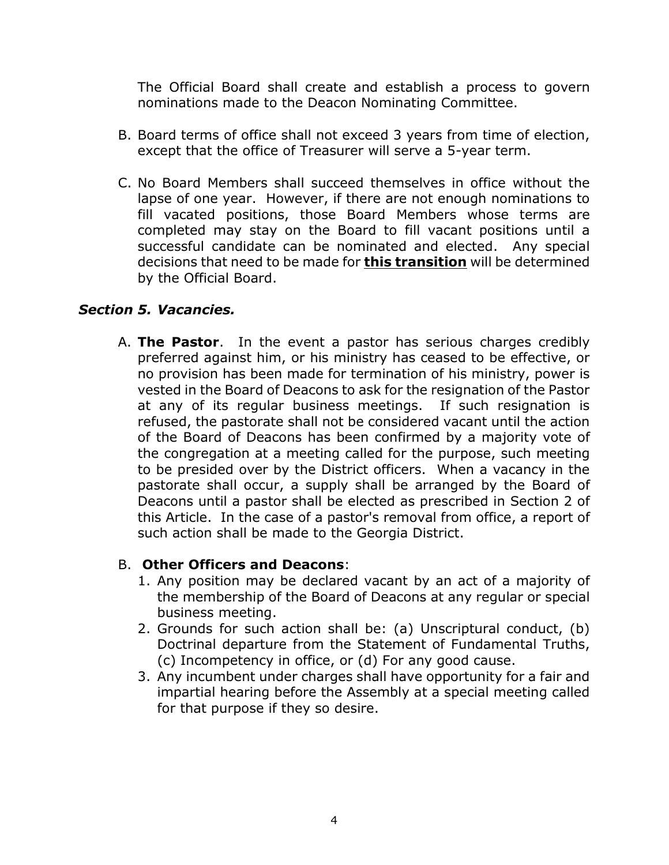The Official Board shall create and establish a process to govern nominations made to the Deacon Nominating Committee.

- B. Board terms of office shall not exceed 3 years from time of election, except that the office of Treasurer will serve a 5-year term.
- C. No Board Members shall succeed themselves in office without the lapse of one year. However, if there are not enough nominations to fill vacated positions, those Board Members whose terms are completed may stay on the Board to fill vacant positions until a successful candidate can be nominated and elected. Any special decisions that need to be made for **this transition** will be determined by the Official Board.

#### *Section 5. Vacancies.*

A. **The Pastor**. In the event a pastor has serious charges credibly preferred against him, or his ministry has ceased to be effective, or no provision has been made for termination of his ministry, power is vested in the Board of Deacons to ask for the resignation of the Pastor at any of its regular business meetings. If such resignation is refused, the pastorate shall not be considered vacant until the action of the Board of Deacons has been confirmed by a majority vote of the congregation at a meeting called for the purpose, such meeting to be presided over by the District officers. When a vacancy in the pastorate shall occur, a supply shall be arranged by the Board of Deacons until a pastor shall be elected as prescribed in Section 2 of this Article. In the case of a pastor's removal from office, a report of such action shall be made to the Georgia District.

#### B. **Other Officers and Deacons**:

- 1. Any position may be declared vacant by an act of a majority of the membership of the Board of Deacons at any regular or special business meeting.
- 2. Grounds for such action shall be: (a) Unscriptural conduct, (b) Doctrinal departure from the Statement of Fundamental Truths, (c) Incompetency in office, or (d) For any good cause.
- 3. Any incumbent under charges shall have opportunity for a fair and impartial hearing before the Assembly at a special meeting called for that purpose if they so desire.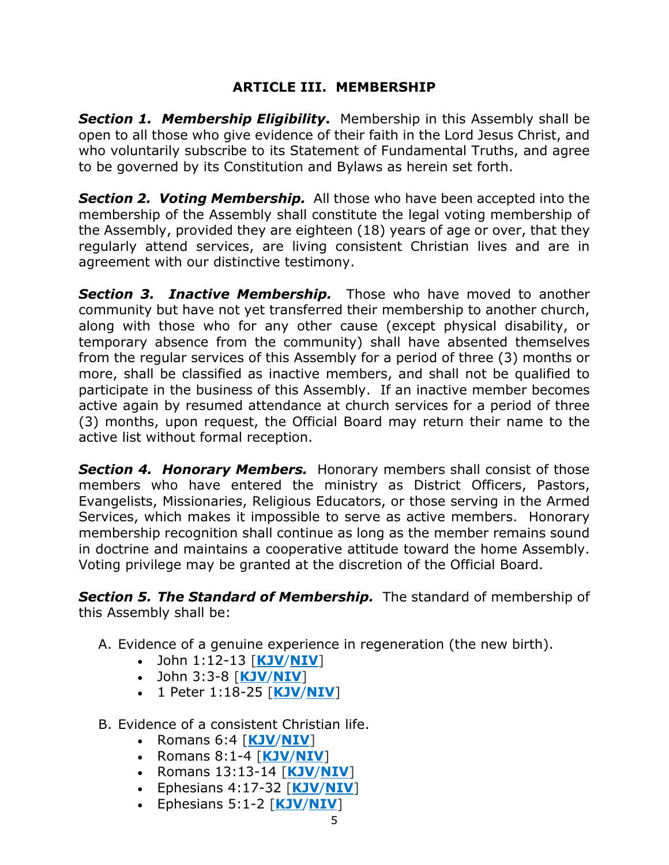### **ARTICLE III. MEMBERSHIP**

*Section 1. Membership Eligibility***.** Membership in this Assembly shall be open to all those who give evidence of their faith in the Lord Jesus Christ, and who voluntarily subscribe to its Statement of Fundamental Truths, and agree to be governed by its Constitution and Bylaws as herein set forth.

*Section 2. Voting Membership.* All those who have been accepted into the membership of the Assembly shall constitute the legal voting membership of the Assembly, provided they are eighteen (18) years of age or over, that they regularly attend services, are living consistent Christian lives and are in agreement with our distinctive testimony.

*Section 3. Inactive Membership.* Those who have moved to another community but have not yet transferred their membership to another church, along with those who for any other cause (except physical disability, or temporary absence from the community) shall have absented themselves from the regular services of this Assembly for a period of three (3) months or more, shall be classified as inactive members, and shall not be qualified to participate in the business of this Assembly. If an inactive member becomes active again by resumed attendance at church services for a period of three (3) months, upon request, the Official Board may return their name to the active list without formal reception.

*Section 4. Honorary Members.* Honorary members shall consist of those members who have entered the ministry as District Officers, Pastors, Evangelists, Missionaries, Religious Educators, or those serving in the Armed Services, which makes it impossible to serve as active members. Honorary membership recognition shall continue as long as the member remains sound in doctrine and maintains a cooperative attitude toward the home Assembly. Voting privilege may be granted at the discretion of the Official Board.

*Section 5. The Standard of Membership.* The standard of membership of this Assembly shall be:

A. Evidence of a genuine experience in regeneration (the new birth).

- John 1:12-13 [**[KJV](https://www.biblegateway.com/passage/?search=john+1%3A12-13&version=KJV)**/**[NIV](https://www.biblegateway.com/passage/?search=john+1%3A12-13&version=NIV)**]
- John 3:3-8 [**[KJV](https://www.biblegateway.com/passage/?search=john+3%3A3-8&version=KJV)**/**[NIV](https://www.biblegateway.com/passage/?search=john+3%3A3-8&version=NIV)**]
- 1 Peter 1:18-25 [**[KJV](https://www.biblegateway.com/passage/?search=1+Peter+1%3A18-25&version=KJV)**/**[NIV](https://www.biblegateway.com/passage/?search=1+Peter+1%3A18-25&version=NIV)**]
- B. Evidence of a consistent Christian life.
	- Romans 6:4 [**[KJV](https://www.biblegateway.com/passage/?search=Romans+6%3A4&version=KJV)**/**[NIV](https://www.biblegateway.com/passage/?search=Romans+6%3A4&version=NIV)**]
	- Romans 8:1-4 [**[KJV](https://www.biblegateway.com/passage/?search=Romans+8%3A1-4&version=KJV)**/**[NIV](https://www.biblegateway.com/passage/?search=Romans+8%3A1-4&version=NIV)**]
	- Romans 13:13-14 [**[KJV](https://www.biblegateway.com/passage/?search=Romans+13%3A+13-14&version=KJV)**/**[NIV](https://www.biblegateway.com/passage/?search=Romans+13%3A+13-14&version=NIV)**]
	- Ephesians 4:17-32 [**[KJV](https://www.biblegateway.com/passage/?search=Ephesians+4%3A17-32&version=KJV)**/**[NIV](https://www.biblegateway.com/passage/?search=Ephesians+4%3A17-32&version=NIV)**]
	- Ephesians 5:1-2 [**[KJV](https://www.biblegateway.com/passage/?search=Ephesians+5%3A1-2&version=KJV)**/**[NIV](https://www.biblegateway.com/passage/?search=Ephesians+5%3A1-2&version=NIV)**]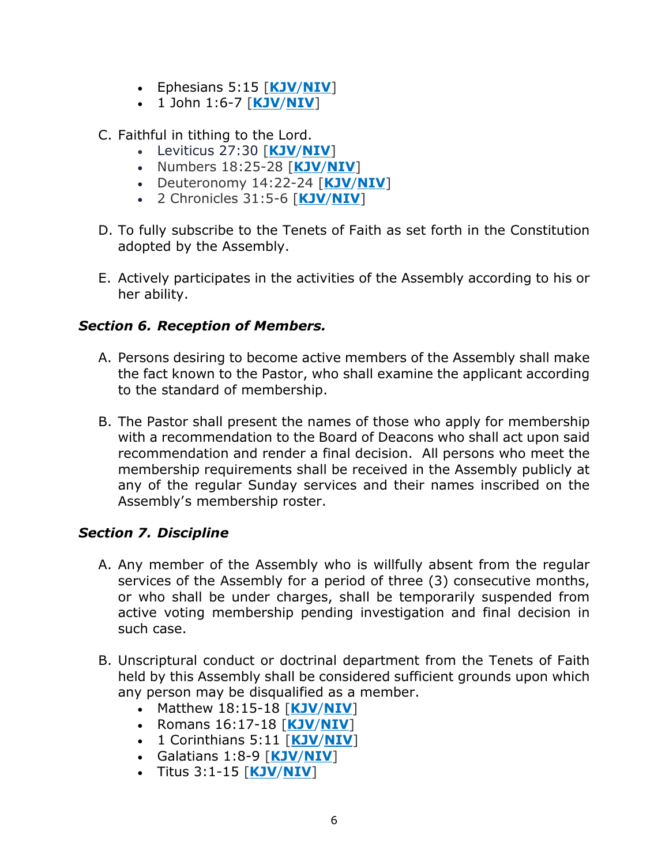- Ephesians 5:15 [**[KJV](https://www.biblegateway.com/passage/?search=Ephesians+5%3A15&version=KJV)**/**[NIV](https://www.biblegateway.com/passage/?search=Ephesians+5%3A15&version=NIV)**]
- 1 John 1:6-7 [**[KJV](https://www.biblegateway.com/passage/?search=1+john+1%3A6-7&version=KJV)**/**[NIV](https://www.biblegateway.com/passage/?search=1+john+1%3A6-7&version=NIV)**]
- C. Faithful in tithing to the Lord.
	- Leviticus 27:30 [**[KJV](https://www.biblegateway.com/passage/?search=leviticus+27%3A30&version=KJV)**/**[NIV](https://www.biblegateway.com/passage/?search=leviticus+27%3A30&version=NIV)**]
	- Numbers 18:25-28 [**[KJV](https://www.biblegateway.com/passage/?search=numbers+18%3A25-28&version=KJV)**/**[NIV](https://www.biblegateway.com/passage/?search=numbers+18%3A25-28&version=NIV)**]
	- Deuteronomy 14:22-24 [**[KJV](https://www.biblegateway.com/passage/?search=deuteronomy+14%3A22-24&version=KJV)**/**[NIV](https://www.biblegateway.com/passage/?search=deuteronomy+14%3A22-24&version=NIV)**]
	- 2 Chronicles 31:5-6 [**[KJV](https://www.biblegateway.com/passage/?search=2+Chronicles+31%3A+5-6&version=KJV)**/**[NIV](https://www.biblegateway.com/passage/?search=2+Chronicles+31%3A+5-6&version=NIV)**]
- D. To fully subscribe to the Tenets of Faith as set forth in the Constitution adopted by the Assembly.
- E. Actively participates in the activities of the Assembly according to his or her ability.

### *Section 6. Reception of Members.*

- A. Persons desiring to become active members of the Assembly shall make the fact known to the Pastor, who shall examine the applicant according to the standard of membership.
- B. The Pastor shall present the names of those who apply for membership with a recommendation to the Board of Deacons who shall act upon said recommendation and render a final decision. All persons who meet the membership requirements shall be received in the Assembly publicly at any of the regular Sunday services and their names inscribed on the Assembly's membership roster.

### *Section 7. Discipline*

- A. Any member of the Assembly who is willfully absent from the regular services of the Assembly for a period of three (3) consecutive months, or who shall be under charges, shall be temporarily suspended from active voting membership pending investigation and final decision in such case.
- B. Unscriptural conduct or doctrinal department from the Tenets of Faith held by this Assembly shall be considered sufficient grounds upon which any person may be disqualified as a member.
	- Matthew 18:15-18 [**[KJV](https://www.biblegateway.com/passage/?search=Matthew+18%3A15-18&version=KJV)**/**[NIV](https://www.biblegateway.com/passage/?search=Matthew+18%3A15-18&version=NIV)**]
	- Romans 16:17-18 [**[KJV](https://www.biblegateway.com/passage/?search=romans+16%3A17-18&version=KJV)**/**[NIV](https://www.biblegateway.com/passage/?search=romans+16%3A17-18&version=NIV)**]
	- 1 Corinthians 5:11 [**[KJV](https://www.biblegateway.com/passage/?search=1+Corinthians+5%3A11&version=KJV)**/**[NIV](https://www.biblegateway.com/passage/?search=1+Corinthians+5%3A11&version=NIV)**]
	- Galatians 1:8-9 [**[KJV](https://www.biblegateway.com/passage/?search=galatians+1%3A8-9&version=KJV)**/**[NIV](https://www.biblegateway.com/passage/?search=galatians+1%3A8-9&version=NIV)**]
	- Titus 3:1-15 [**[KJV](https://www.biblegateway.com/passage/?search=titus+3%3A1-15&version=KJV)**/**[NIV](https://www.biblegateway.com/passage/?search=titus+3%3A1-15&version=NIV)**]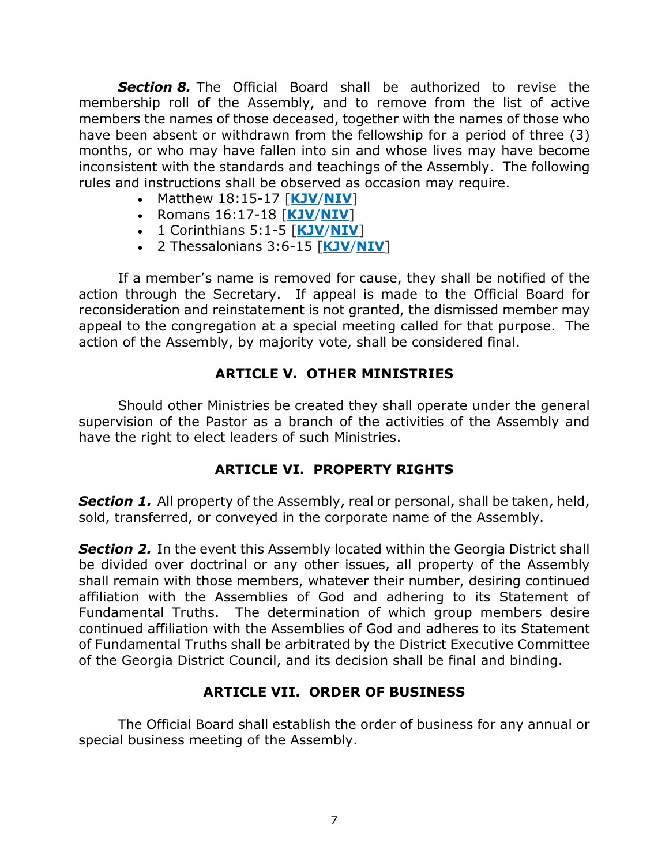*Section 8.* The Official Board shall be authorized to revise the membership roll of the Assembly, and to remove from the list of active members the names of those deceased, together with the names of those who have been absent or withdrawn from the fellowship for a period of three (3) months, or who may have fallen into sin and whose lives may have become inconsistent with the standards and teachings of the Assembly. The following rules and instructions shall be observed as occasion may require.

- Matthew 18:15-17 [**[KJV](https://www.biblegateway.com/passage/?search=matthew+18%3A15-17&version=KJV)**/**[NIV](https://www.biblegateway.com/passage/?search=matthew+18%3A15-17&version=NIV)**]
- Romans 16:17-18 [**[KJV](https://www.biblegateway.com/passage/?search=romans+16%3A17-18&version=KJV)**/**[NIV](https://www.biblegateway.com/passage/?search=romans+16%3A17-18&version=NIV)**]
- 1 Corinthians 5:1-5 [**[KJV](https://www.biblegateway.com/passage/?search=1+Corinthians+5%3A+1-5&version=KJV)**/**[NIV](https://www.biblegateway.com/passage/?search=1+Corinthians+5%3A+1-5&version=NIV)**]
- 2 Thessalonians 3:6-15 [**[KJV](https://www.biblegateway.com/passage/?search=2+Thessalonians+3%3A6-15&version=KJV)**/**[NIV](https://www.biblegateway.com/passage/?search=2+Thessalonians+3%3A6-15&version=NIV)**]

If a member's name is removed for cause, they shall be notified of the action through the Secretary. If appeal is made to the Official Board for reconsideration and reinstatement is not granted, the dismissed member may appeal to the congregation at a special meeting called for that purpose. The action of the Assembly, by majority vote, shall be considered final.

### **ARTICLE V. OTHER MINISTRIES**

Should other Ministries be created they shall operate under the general supervision of the Pastor as a branch of the activities of the Assembly and have the right to elect leaders of such Ministries.

### **ARTICLE VI. PROPERTY RIGHTS**

**Section 1.** All property of the Assembly, real or personal, shall be taken, held, sold, transferred, or conveyed in the corporate name of the Assembly.

**Section 2.** In the event this Assembly located within the Georgia District shall be divided over doctrinal or any other issues, all property of the Assembly shall remain with those members, whatever their number, desiring continued affiliation with the Assemblies of God and adhering to its Statement of Fundamental Truths. The determination of which group members desire continued affiliation with the Assemblies of God and adheres to its Statement of Fundamental Truths shall be arbitrated by the District Executive Committee of the Georgia District Council, and its decision shall be final and binding.

### **ARTICLE VII. ORDER OF BUSINESS**

The Official Board shall establish the order of business for any annual or special business meeting of the Assembly.